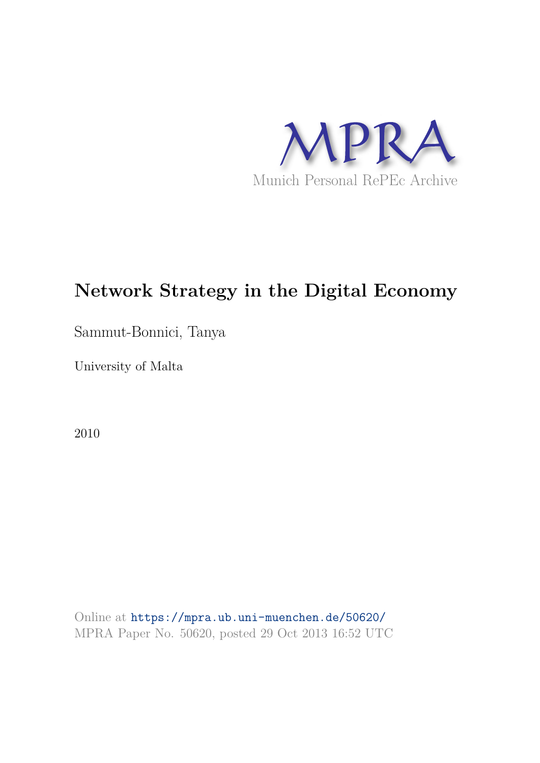

# **Network Strategy in the Digital Economy**

# Sammut-Bonnici, Tanya

University of Malta

2010

Online at https://mpra.ub.uni-muenchen.de/50620/ MPRA Paper No. 50620, posted 29 Oct 2013 16:52 UTC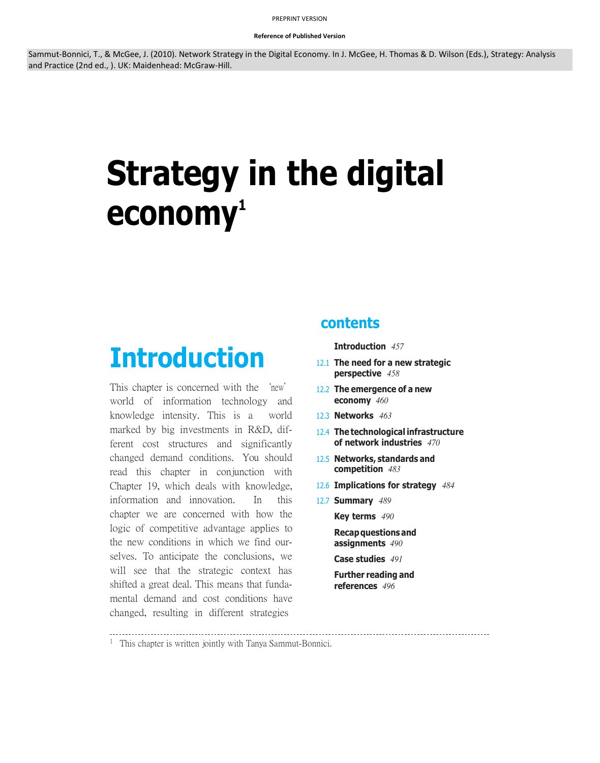Sammut-Bonnici, T., & McGee, J. (2010). Network Strategy in the Digital Economy. In J. McGee, H. Thomas & D. Wilson (Eds.), Strategy: Analysis and Practice (2nd ed., ). UK: Maidenhead: McGraw-Hill.

# **Strategy in the digital economy<sup>1</sup>**

# **Introduction**

This chapter is concerned with the 'new' world of information technology and knowledge intensity. This is a world marked by big investments in R&D, different cost structures and significantly changed demand conditions. You should read this chapter in conjunction with Chapter 19, which deals with knowledge, information and innovation. In this chapter we are concerned with how the logic of competitive advantage applies to the new conditions in which we find ourselves. To anticipate the conclusions, we will see that the strategic context has shifted a great deal. This means that fundamental demand and cost conditions have changed, resulting in different strategies

# **contents**

**Introduction** *457*

- 12.1 **The need for a new strategic perspective** *458*
- 12.2 **The emergence of a new economy** *460*
- 12.3 **Networks** *463*
- 12.4 **The technological infrastructure of network industries** *470*
- 12.5 **Networks, standards and competition** *483*
- 12.6 **Implications for strategy** *484*
- 12.7 **Summary** *489*

**Key terms** *490*

**Recap questions and assignments** *490*

**Case studies** *491*

**Further reading and references** *496*

<sup>1</sup> This chapter is written jointly with Tanya Sammut-Bonnici.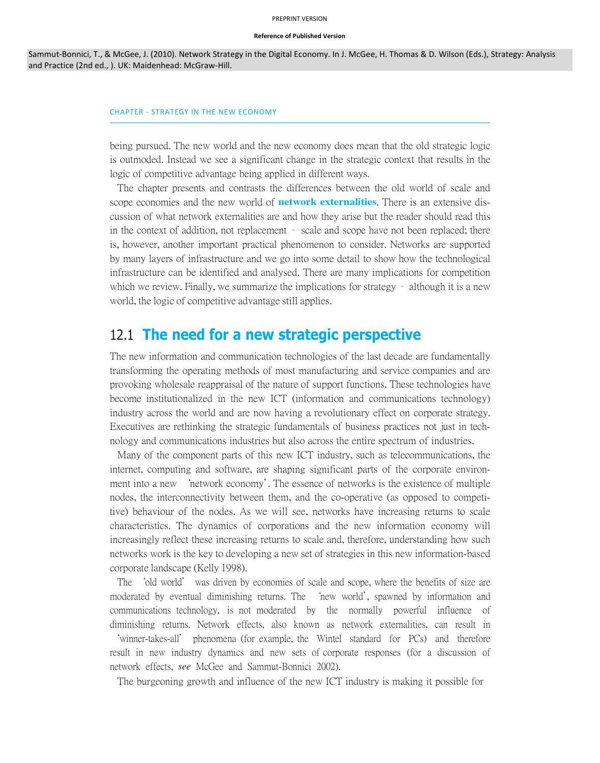### **Reference of Published Version**

Sammut-Bonnici, T., & McGee, J. (2010). Network Strategy in the Digital Economy. In J. McGee, H. Thomas & D. Wilson (Eds.), Strategy: Analysis and Practice (2nd ed., ). UK: Maidenhead: McGraw-Hill.

### CHAPTER - STRATEGY IN THE NEW ECONOMY

being pursued. The new world and the new economy does mean that the old strategic logic is outmoded. Instead we see a significant change in the strategic context that results in the logic of competitive advantage being applied in different ways.

The chapter presents and contrasts the differences between the old world of scale and scope economies and the new world of **network externalities**. There is an extensive discussion of what network externalities are and how they arise but the reader should read this in the context of addition, not replacement – scale and scope have not been replaced; there is, however, another important practical phenomenon to consider. Networks are supported by many layers of infrastructure and we go into some detail to show how the technological infrastructure can be identified and analysed. There are many implications for competition which we review. Finally, we summarize the implications for strategy - although it is a new world, the logic of competitive advantage still applies.

# 12.1 **The need for a new strategic perspective**

The new information and communication technologies of the last decade are fundamentally transforming the operating methods of most manufacturing and service companies and are provoking wholesale reappraisal of the nature of support functions. These technologies have become institutionalized in the new ICT (information and communications technology) industry across the world and are now having a revolutionary effect on corporate strategy. Executives are rethinking the strategic fundamentals of business practices not just in technology and communications industries but also across the entire spectrum of industries.

Many of the component parts of this new ICT industry, such as telecommunications, the internet, computing and software, are shaping significant parts of the corporate environment into a new 'network economy'. The essence of networks is the existence of multiple nodes, the interconnectivity between them, and the co-operative (as opposed to competitive) behaviour of the nodes. As we will see, networks have increasing returns to scale characteristics. The dynamics of corporations and the new information economy will increasingly reflect these increasing returns to scale and, therefore, understanding how such networks work is the key to developing a new set of strategies in this new information-based corporate landscape (Kelly 1998).

The 'old world' was driven by economies of scale and scope, where the benefits of size are moderated by eventual diminishing returns. The 'new world', spawned by information and communications technology, is not moderated by the normally powerful influence of diminishing returns. Network effects, also known as network externalities, can result in 'winner-takes-all' phenomena (for example, the Wintel standard for PCs) and therefore result in new industry dynamics and new sets of corporate responses (for a discussion of network effects, *see* McGee and Sammut-Bonnici 2002).

The burgeoning growth and influence of the new ICT industry is making it possible for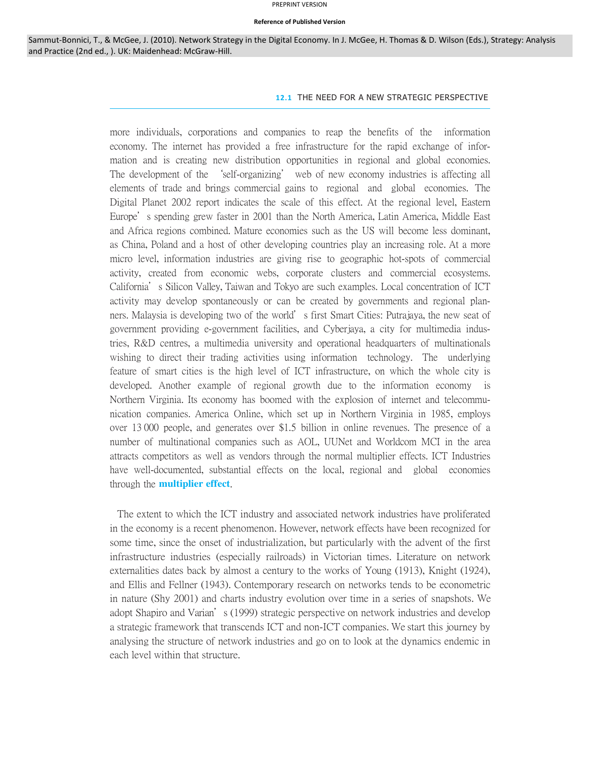### **Reference of Published Version**

Sammut-Bonnici, T., & McGee, J. (2010). Network Strategy in the Digital Economy. In J. McGee, H. Thomas & D. Wilson (Eds.), Strategy: Analysis and Practice (2nd ed., ). UK: Maidenhead: McGraw-Hill.

# **12.1** THE NEED FOR A NEW STRATEGIC PERSPECTIVE

more individuals, corporations and companies to reap the benefits of the information economy. The internet has provided a free infrastructure for the rapid exchange of information and is creating new distribution opportunities in regional and global economies. The development of the 'self-organizing' web of new economy industries is affecting all elements of trade and brings commercial gains to regional and global economies. The Digital Planet 2002 report indicates the scale of this effect. At the regional level, Eastern Europe's spending grew faster in 2001 than the North America, Latin America, Middle East and Africa regions combined. Mature economies such as the US will become less dominant, as China, Poland and a host of other developing countries play an increasing role. At a more micro level, information industries are giving rise to geographic hot-spots of commercial activity, created from economic webs, corporate clusters and commercial ecosystems. California's Silicon Valley, Taiwan and Tokyo are such examples. Local concentration of ICT activity may develop spontaneously or can be created by governments and regional planners. Malaysia is developing two of the world's first Smart Cities: Putrajaya, the new seat of government providing e-government facilities, and Cyberjaya, a city for multimedia industries, R&D centres, a multimedia university and operational headquarters of multinationals wishing to direct their trading activities using information technology. The underlying feature of smart cities is the high level of ICT infrastructure, on which the whole city is developed. Another example of regional growth due to the information economy is Northern Virginia. Its economy has boomed with the explosion of internet and telecommunication companies. America Online, which set up in Northern Virginia in 1985, employs over 13 000 people, and generates over \$1.5 billion in online revenues. The presence of a number of multinational companies such as AOL, UUNet and Worldcom MCI in the area attracts competitors as well as vendors through the normal multiplier effects. ICT Industries have well-documented, substantial effects on the local, regional and global economies through the **multiplier effect**.

The extent to which the ICT industry and associated network industries have proliferated in the economy is a recent phenomenon. However, network effects have been recognized for some time, since the onset of industrialization, but particularly with the advent of the first infrastructure industries (especially railroads) in Victorian times. Literature on network externalities dates back by almost a century to the works of Young (1913), Knight (1924), and Ellis and Fellner (1943). Contemporary research on networks tends to be econometric in nature (Shy 2001) and charts industry evolution over time in a series of snapshots. We adopt Shapiro and Varian's (1999) strategic perspective on network industries and develop a strategic framework that transcends ICT and non-ICT companies. We start this journey by analysing the structure of network industries and go on to look at the dynamics endemic in each level within that structure.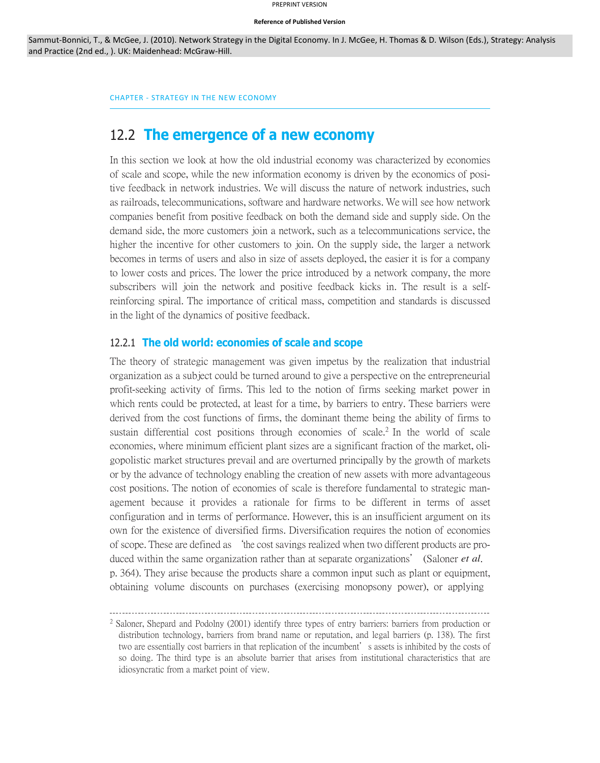Sammut-Bonnici, T., & McGee, J. (2010). Network Strategy in the Digital Economy. In J. McGee, H. Thomas & D. Wilson (Eds.), Strategy: Analysis and Practice (2nd ed., ). UK: Maidenhead: McGraw-Hill.

CHAPTER - STRATEGY IN THE NEW ECONOMY

# 12.2 **The emergence of a new economy**

In this section we look at how the old industrial economy was characterized by economies of scale and scope, while the new information economy is driven by the economics of positive feedback in network industries. We will discuss the nature of network industries, such as railroads, telecommunications, software and hardware networks. We will see how network companies benefit from positive feedback on both the demand side and supply side. On the demand side, the more customers join a network, such as a telecommunications service, the higher the incentive for other customers to join. On the supply side, the larger a network becomes in terms of users and also in size of assets deployed, the easier it is for a company to lower costs and prices. The lower the price introduced by a network company, the more subscribers will join the network and positive feedback kicks in. The result is a selfreinforcing spiral. The importance of critical mass, competition and standards is discussed in the light of the dynamics of positive feedback.

# 12.2.1 **The old world: economies of scale and scope**

The theory of strategic management was given impetus by the realization that industrial organization as a subject could be turned around to give a perspective on the entrepreneurial profit-seeking activity of firms. This led to the notion of firms seeking market power in which rents could be protected, at least for a time, by barriers to entry. These barriers were derived from the cost functions of firms, the dominant theme being the ability of firms to sustain differential cost positions through economies of scale.<sup>2</sup> In the world of scale economies, where minimum efficient plant sizes are a significant fraction of the market, oligopolistic market structures prevail and are overturned principally by the growth of markets or by the advance of technology enabling the creation of new assets with more advantageous cost positions. The notion of economies of scale is therefore fundamental to strategic management because it provides a rationale for firms to be different in terms of asset configuration and in terms of performance. However, this is an insufficient argument on its own for the existence of diversified firms. Diversification requires the notion of economies of scope. These are defined as 'the cost savings realized when two different products are produced within the same organization rather than at separate organizations' (Saloner *et al*. p. 364). They arise because the products share a common input such as plant or equipment, obtaining volume discounts on purchases (exercising monopsony power), or applying

<sup>&</sup>lt;sup>2</sup> Saloner, Shepard and Podolny (2001) identify three types of entry barriers: barriers from production or distribution technology, barriers from brand name or reputation, and legal barriers (p. 138). The first two are essentially cost barriers in that replication of the incumbent' s assets is inhibited by the costs of so doing. The third type is an absolute barrier that arises from institutional characteristics that are idiosyncratic from a market point of view.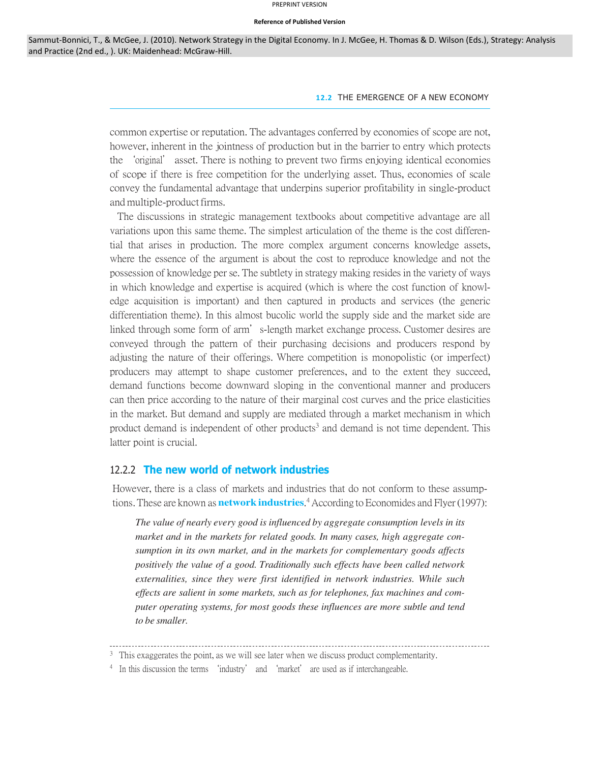### **Reference of Published Version**

Sammut-Bonnici, T., & McGee, J. (2010). Network Strategy in the Digital Economy. In J. McGee, H. Thomas & D. Wilson (Eds.), Strategy: Analysis and Practice (2nd ed., ). UK: Maidenhead: McGraw-Hill.

### **12.2** THE EMERGENCE OF A NEW ECONOMY

common expertise or reputation. The advantages conferred by economies of scope are not, however, inherent in the jointness of production but in the barrier to entry which protects the 'original' asset. There is nothing to prevent two firms enjoying identical economies of scope if there is free competition for the underlying asset. Thus, economies of scale convey the fundamental advantage that underpins superior profitability in single-product and multiple-product firms.

The discussions in strategic management textbooks about competitive advantage are all variations upon this same theme. The simplest articulation of the theme is the cost differential that arises in production. The more complex argument concerns knowledge assets, where the essence of the argument is about the cost to reproduce knowledge and not the possession of knowledge per se. The subtlety in strategy making resides in the variety of ways in which knowledge and expertise is acquired (which is where the cost function of knowledge acquisition is important) and then captured in products and services (the generic differentiation theme). In this almost bucolic world the supply side and the market side are linked through some form of arm's-length market exchange process. Customer desires are conveyed through the pattern of their purchasing decisions and producers respond by adjusting the nature of their offerings. Where competition is monopolistic (or imperfect) producers may attempt to shape customer preferences, and to the extent they succeed, demand functions become downward sloping in the conventional manner and producers can then price according to the nature of their marginal cost curves and the price elasticities in the market. But demand and supply are mediated through a market mechanism in which product demand is independent of other products<sup>3</sup> and demand is not time dependent. This latter point is crucial.

# 12.2.2 **The new world of network industries**

However, there is a class of markets and industries that do not conform to these assumptions. These are known as **network industries**. <sup>4</sup>According to Economides and Flyer (1997):

*The value of nearly every good is influenced by aggregate consumption levels in its market and in the markets for related goods. In many cases, high aggregate consumption in its own market, and in the markets for complementary goods affects positively the value of a good. Traditionally such effects have been called network externalities, since they were first identified in network industries. While such effects are salient in some markets, such as for telephones, fax machines and computer operating systems, for most goods these influences are more subtle and tend to be smaller.*

<sup>&</sup>lt;sup>3</sup> This exaggerates the point, as we will see later when we discuss product complementarity.

<sup>&</sup>lt;sup>4</sup> In this discussion the terms 'industry' and 'market' are used as if interchangeable.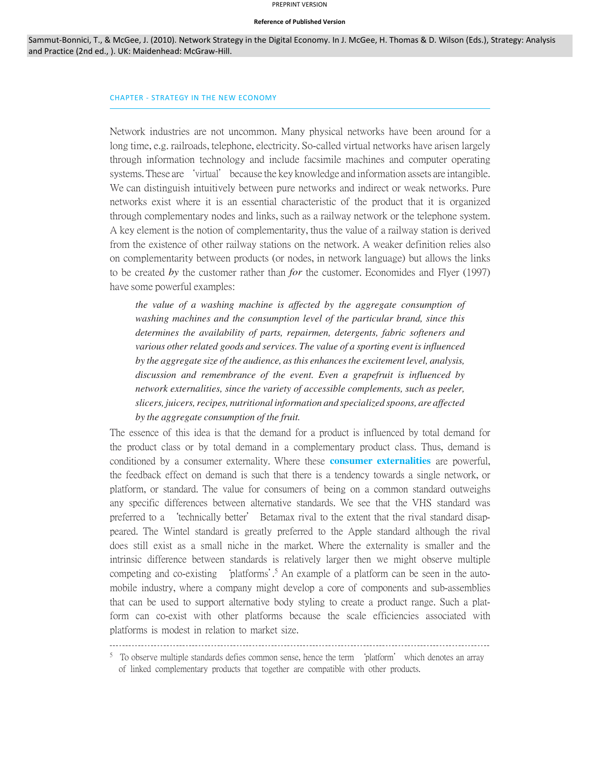### **Reference of Published Version**

Sammut-Bonnici, T., & McGee, J. (2010). Network Strategy in the Digital Economy. In J. McGee, H. Thomas & D. Wilson (Eds.), Strategy: Analysis and Practice (2nd ed., ). UK: Maidenhead: McGraw-Hill.

# CHAPTER - STRATEGY IN THE NEW ECONOMY

Network industries are not uncommon. Many physical networks have been around for a long time, e.g. railroads, telephone, electricity. So-called virtual networks have arisen largely through information technology and include facsimile machines and computer operating systems. These are 'virtual' because the key knowledge and information assets are intangible. We can distinguish intuitively between pure networks and indirect or weak networks. Pure networks exist where it is an essential characteristic of the product that it is organized through complementary nodes and links, such as a railway network or the telephone system. A key element is the notion of complementarity, thus the value of a railway station is derived from the existence of other railway stations on the network. A weaker definition relies also on complementarity between products (or nodes, in network language) but allows the links to be created *by* the customer rather than *for* the customer. Economides and Flyer (1997) have some powerful examples:

*the value of a washing machine is affected by the aggregate consumption of washing machines and the consumption level of the particular brand, since this determines the availability of parts, repairmen, detergents, fabric softeners and various other related goods and services. The value of a sporting event is influenced by the aggregate size of the audience, as this enhances the excitement level, analysis, discussion and remembrance of the event. Even a grapefruit is influenced by network externalities, since the variety of accessible complements, such as peeler, slicers, juicers, recipes, nutritional information and specialized spoons, are affected by the aggregate consumption of the fruit.*

The essence of this idea is that the demand for a product is influenced by total demand for the product class or by total demand in a complementary product class. Thus, demand is conditioned by a consumer externality. Where these **consumer externalities** are powerful, the feedback effect on demand is such that there is a tendency towards a single network, or platform, or standard. The value for consumers of being on a common standard outweighs any specific differences between alternative standards. We see that the VHS standard was preferred to a 'technically better' Betamax rival to the extent that the rival standard disappeared. The Wintel standard is greatly preferred to the Apple standard although the rival does still exist as a small niche in the market. Where the externality is smaller and the intrinsic difference between standards is relatively larger then we might observe multiple competing and co-existing 'platforms'. 5 An example of a platform can be seen in the automobile industry, where a company might develop a core of components and sub-assemblies that can be used to support alternative body styling to create a product range. Such a platform can co-exist with other platforms because the scale efficiencies associated with platforms is modest in relation to market size.

<sup>5</sup> To observe multiple standards defies common sense, hence the term 'platform' which denotes an array of linked complementary products that together are compatible with other products.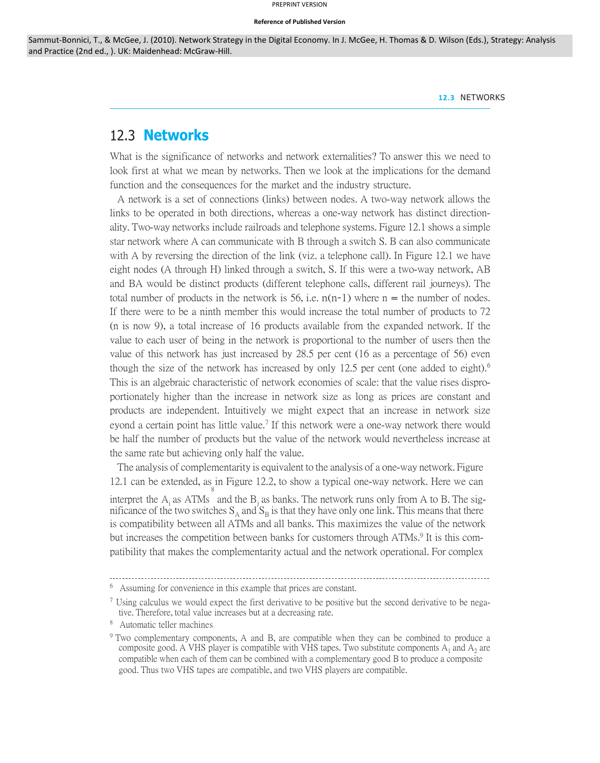### **Reference of Published Version**

Sammut-Bonnici, T., & McGee, J. (2010). Network Strategy in the Digital Economy. In J. McGee, H. Thomas & D. Wilson (Eds.), Strategy: Analysis and Practice (2nd ed., ). UK: Maidenhead: McGraw-Hill.

**12.3** NETWORKS

# 12.3 **Networks**

What is the significance of networks and network externalities? To answer this we need to look first at what we mean by networks. Then we look at the implications for the demand function and the consequences for the market and the industry structure.

A network is a set of connections (links) between nodes. A two-way network allows the links to be operated in both directions, whereas a one-way network has distinct directionality. Two-way networks include railroads and telephone systems. Figure 12.1 shows a simple star network where A can communicate with B through a switch S. B can also communicate with A by reversing the direction of the link (viz. a telephone call). In Figure 12.1 we have eight nodes (A through H) linked through a switch, S. If this were a two-way network, AB and BA would be distinct products (different telephone calls, different rail journeys). The total number of products in the network is 56, i.e.  $n(n-1)$  where  $n =$  the number of nodes. If there were to be a ninth member this would increase the total number of products to 72 (n is now 9), a total increase of 16 products available from the expanded network. If the value to each user of being in the network is proportional to the number of users then the value of this network has just increased by 28.5 per cent (16 as a percentage of 56) even though the size of the network has increased by only 12.5 per cent (one added to eight).<sup>6</sup> This is an algebraic characteristic of network economies of scale: that the value rises disproportionately higher than the increase in network size as long as prices are constant and products are independent. Intuitively we might expect that an increase in network size eyond a certain point has little value.<sup>7</sup> If this network were a one-way network there would be half the number of products but the value of the network would nevertheless increase at the same rate but achieving only half the value.

The analysis of complementarity is equivalent to the analysis of a one-way network. Figure 12.1 can be extended, as in Figure 12.2, to show a typical one-way network. Here we can interpret the A<sub>i</sub> as ATMs  $\overset{8}{\ }$  and the B<sub>j</sub> as banks. The network runs only from A to B. The significance of the two switches  $S_A$  and  $S_B$  is that they have only one link. This means that there is compatibility between all ATMs and all banks. This maximizes the value of the network but increases the competition between banks for customers through ATMs.<sup>9</sup> It is this compatibility that makes the complementarity actual and the network operational. For complex

<sup>&</sup>lt;sup>6</sup> Assuming for convenience in this example that prices are constant.

<sup>7</sup>Using calculus we would expect the first derivative to be positive but the second derivative to be negative. Therefore, total value increases but at a decreasing rate.

<sup>&</sup>lt;sup>8</sup> Automatic teller machines

<sup>9</sup>Two complementary components, A and B, are compatible when they can be combined to produce a composite good. A VHS player is compatible with VHS tapes. Two substitute components  $A_1$  and  $A_2$  are compatible when each of them can be combined with a complementary good B to produce a composite good. Thus two VHS tapes are compatible, and two VHS players are compatible.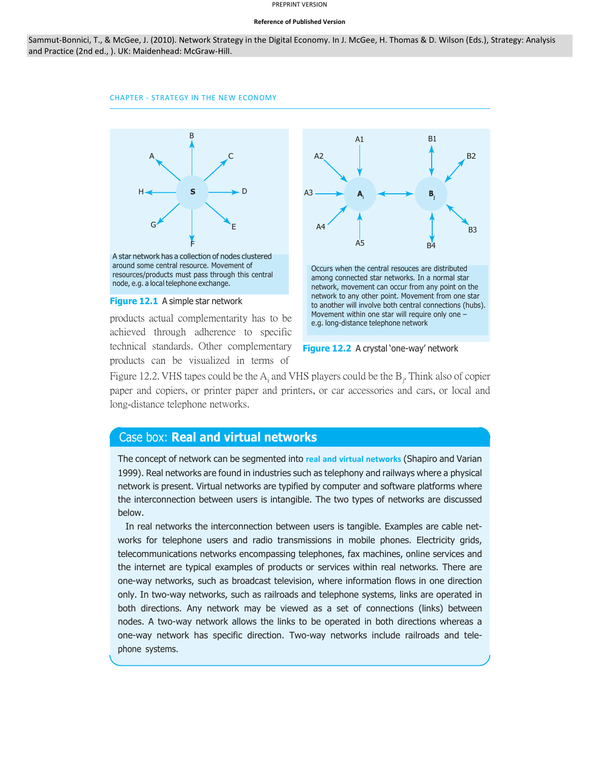### **Reference of Published Version**

Sammut-Bonnici, T., & McGee, J. (2010). Network Strategy in the Digital Economy. In J. McGee, H. Thomas & D. Wilson (Eds.), Strategy: Analysis and Practice (2nd ed., ). UK: Maidenhead: McGraw-Hill.

### CHAPTER - STRATEGY IN THE NEW ECONOMY



**Figure 12.1** A simple star network

products actual complementarity has to be achieved through adherence to specific technical standards. Other complementary products can be visualized in terms of



**Figure 12.2** A crystal 'one-way' network

Figure 12.2. VHS tapes could be the  $A_i$  and VHS players could be the  $B_j$ . Think also of copier paper and copiers, or printer paper and printers, or car accessories and cars, or local and long-distance telephone networks.

# Case box: **Real and virtual networks**

The concept of network can be segmented into **real and virtual networks** (Shapiro and Varian 1999). Real networks are found in industries such as telephony and railways where a physical network is present. Virtual networks are typified by computer and software platforms where the interconnection between users is intangible. The two types of networks are discussed below.

In real networks the interconnection between users is tangible. Examples are cable networks for telephone users and radio transmissions in mobile phones. Electricity grids, telecommunications networks encompassing telephones, fax machines, online services and the internet are typical examples of products or services within real networks. There are one-way networks, such as broadcast television, where information flows in one direction only. In two-way networks, such as railroads and telephone systems, links are operated in both directions. Any network may be viewed as a set of connections (links) between nodes. A two-way network allows the links to be operated in both directions whereas a one-way network has specific direction. Two-way networks include railroads and telephone systems.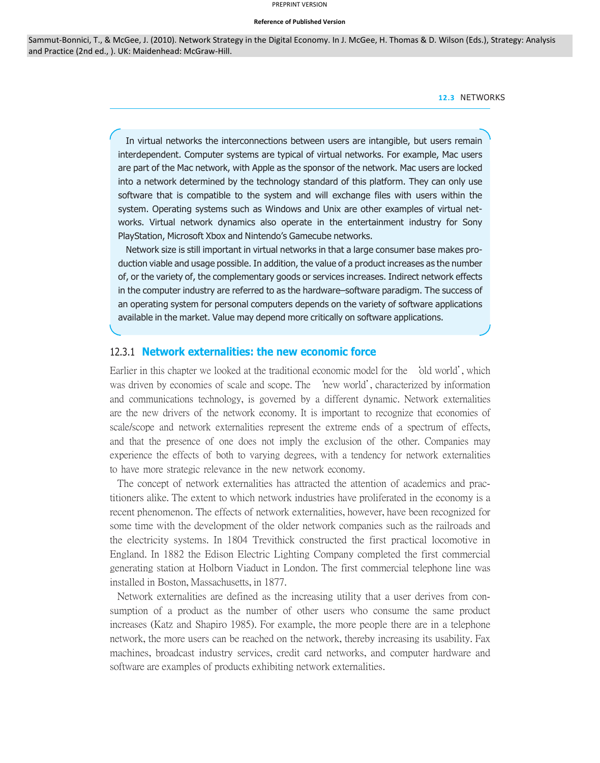### **Reference of Published Version**

Sammut-Bonnici, T., & McGee, J. (2010). Network Strategy in the Digital Economy. In J. McGee, H. Thomas & D. Wilson (Eds.), Strategy: Analysis and Practice (2nd ed., ). UK: Maidenhead: McGraw-Hill.

**12.3** NETWORKS

In virtual networks the interconnections between users are intangible, but users remain interdependent. Computer systems are typical of virtual networks. For example, Mac users are part of the Mac network, with Apple as the sponsor of the network. Mac users are locked into a network determined by the technology standard of this platform. They can only use software that is compatible to the system and will exchange files with users within the system. Operating systems such as Windows and Unix are other examples of virtual networks. Virtual network dynamics also operate in the entertainment industry for Sony PlayStation, Microsoft Xbox and Nintendo's Gamecube networks.

Network size is still important in virtual networks in that a large consumer base makes production viable and usage possible. In addition, the value of a product increases as the number of, or the variety of, the complementary goods or services increases. Indirect network effects in the computer industry are referred to as the hardware–software paradigm. The success of an operating system for personal computers depends on the variety of software applications available in the market. Value may depend more critically on software applications.

# 12.3.1 **Network externalities: the new economic force**

Earlier in this chapter we looked at the traditional economic model for the 'old world', which was driven by economies of scale and scope. The 'new world', characterized by information and communications technology, is governed by a different dynamic. Network externalities are the new drivers of the network economy. It is important to recognize that economies of scale/scope and network externalities represent the extreme ends of a spectrum of effects, and that the presence of one does not imply the exclusion of the other. Companies may experience the effects of both to varying degrees, with a tendency for network externalities to have more strategic relevance in the new network economy.

The concept of network externalities has attracted the attention of academics and practitioners alike. The extent to which network industries have proliferated in the economy is a recent phenomenon. The effects of network externalities, however, have been recognized for some time with the development of the older network companies such as the railroads and the electricity systems. In 1804 Trevithick constructed the first practical locomotive in England. In 1882 the Edison Electric Lighting Company completed the first commercial generating station at Holborn Viaduct in London. The first commercial telephone line was installed in Boston, Massachusetts, in 1877.

Network externalities are defined as the increasing utility that a user derives from consumption of a product as the number of other users who consume the same product increases (Katz and Shapiro 1985). For example, the more people there are in a telephone network, the more users can be reached on the network, thereby increasing its usability. Fax machines, broadcast industry services, credit card networks, and computer hardware and software are examples of products exhibiting network externalities.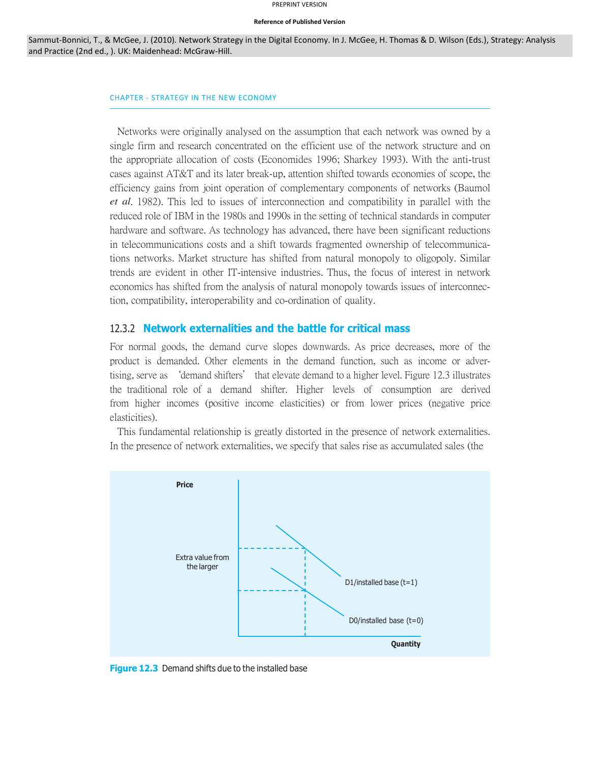### **Reference of Published Version**

Sammut-Bonnici, T., & McGee, J. (2010). Network Strategy in the Digital Economy. In J. McGee, H. Thomas & D. Wilson (Eds.), Strategy: Analysis and Practice (2nd ed., ). UK: Maidenhead: McGraw-Hill.

# CHAPTER - STRATEGY IN THE NEW ECONOMY

Networks were originally analysed on the assumption that each network was owned by a single firm and research concentrated on the efficient use of the network structure and on the appropriate allocation of costs (Economides 1996; Sharkey 1993). With the anti-trust cases against AT&T and its later break-up, attention shifted towards economies of scope, the efficiency gains from joint operation of complementary components of networks (Baumol *et al*. 1982). This led to issues of interconnection and compatibility in parallel with the reduced role of IBM in the 1980s and 1990s in the setting of technical standards in computer hardware and software. As technology has advanced, there have been significant reductions in telecommunications costs and a shift towards fragmented ownership of telecommunications networks. Market structure has shifted from natural monopoly to oligopoly. Similar trends are evident in other IT-intensive industries. Thus, the focus of interest in network economics has shifted from the analysis of natural monopoly towards issues of interconnection, compatibility, interoperability and co-ordination of quality.

# 12.3.2 **Network externalities and the battle for critical mass**

For normal goods, the demand curve slopes downwards. As price decreases, more of the product is demanded. Other elements in the demand function, such as income or advertising, serve as 'demand shifters' that elevate demand to a higher level. Figure 12.3 illustrates the traditional role of a demand shifter. Higher levels of consumption are derived from higher incomes (positive income elasticities) or from lower prices (negative price elasticities).

This fundamental relationship is greatly distorted in the presence of network externalities. In the presence of network externalities, we specify that sales rise as accumulated sales (the



**Figure 12.3** Demand shifts due to the installed base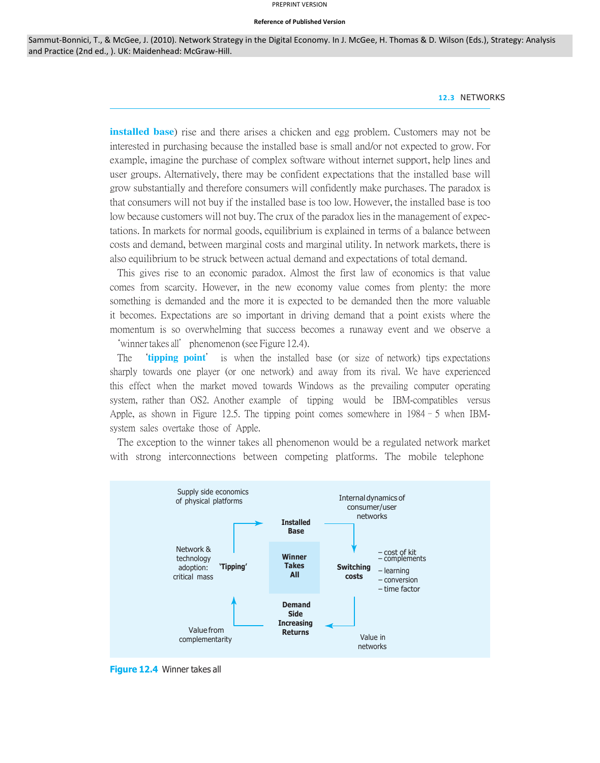### **Reference of Published Version**

Sammut-Bonnici, T., & McGee, J. (2010). Network Strategy in the Digital Economy. In J. McGee, H. Thomas & D. Wilson (Eds.), Strategy: Analysis and Practice (2nd ed., ). UK: Maidenhead: McGraw-Hill.

**12.3** NETWORKS

**installed base**) rise and there arises a chicken and egg problem. Customers may not be interested in purchasing because the installed base is small and/or not expected to grow. For example, imagine the purchase of complex software without internet support, help lines and user groups. Alternatively, there may be confident expectations that the installed base will grow substantially and therefore consumers will confidently make purchases. The paradox is that consumers will not buy if the installed base is too low. However, the installed base is too low because customers will not buy. The crux of the paradox lies in the management of expectations. In markets for normal goods, equilibrium is explained in terms of a balance between costs and demand, between marginal costs and marginal utility. In network markets, there is also equilibrium to be struck between actual demand and expectations of total demand.

This gives rise to an economic paradox. Almost the first law of economics is that value comes from scarcity. However, in the new economy value comes from plenty: the more something is demanded and the more it is expected to be demanded then the more valuable it becomes. Expectations are so important in driving demand that a point exists where the momentum is so overwhelming that success becomes a runaway event and we observe a 'winner takes all' phenomenon (see Figure 12.4).

The '**tipping point**' is when the installed base (or size of network) tips expectations sharply towards one player (or one network) and away from its rival. We have experienced this effect when the market moved towards Windows as the prevailing computer operating system, rather than OS2. Another example of tipping would be IBM-compatibles versus Apple, as shown in Figure 12.5. The tipping point comes somewhere in 1984–5 when IBMsystem sales overtake those of Apple.

The exception to the winner takes all phenomenon would be a regulated network market with strong interconnections between competing platforms. The mobile telephone



**Figure 12.4** Winner takes all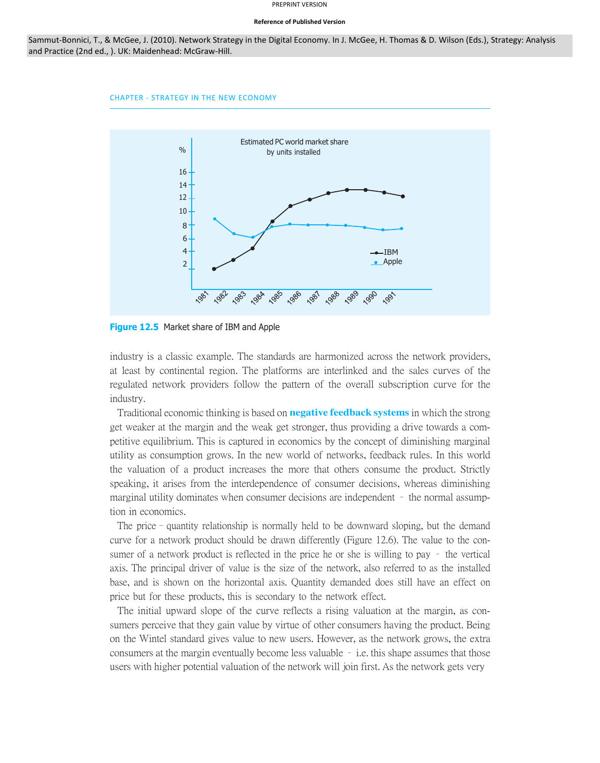### **Reference of Published Version**

Sammut-Bonnici, T., & McGee, J. (2010). Network Strategy in the Digital Economy. In J. McGee, H. Thomas & D. Wilson (Eds.), Strategy: Analysis and Practice (2nd ed., ). UK: Maidenhead: McGraw-Hill.

### CHAPTER - STRATEGY IN THE NEW ECONOMY



**Figure 12.5** Market share of IBM and Apple

industry is a classic example. The standards are harmonized across the network providers, at least by continental region. The platforms are interlinked and the sales curves of the regulated network providers follow the pattern of the overall subscription curve for the industry.

Traditional economic thinking is based on **negative feedback systems** in which the strong get weaker at the margin and the weak get stronger, thus providing a drive towards a competitive equilibrium. This is captured in economics by the concept of diminishing marginal utility as consumption grows. In the new world of networks, feedback rules. In this world the valuation of a product increases the more that others consume the product. Strictly speaking, it arises from the interdependence of consumer decisions, whereas diminishing marginal utility dominates when consumer decisions are independent – the normal assumption in economics.

The price–quantity relationship is normally held to be downward sloping, but the demand curve for a network product should be drawn differently (Figure 12.6). The value to the consumer of a network product is reflected in the price he or she is willing to pay – the vertical axis. The principal driver of value is the size of the network, also referred to as the installed base, and is shown on the horizontal axis. Quantity demanded does still have an effect on price but for these products, this is secondary to the network effect.

The initial upward slope of the curve reflects a rising valuation at the margin, as consumers perceive that they gain value by virtue of other consumers having the product. Being on the Wintel standard gives value to new users. However, as the network grows, the extra consumers at the margin eventually become less valuable – i.e. this shape assumes that those users with higher potential valuation of the network will join first. As the network gets very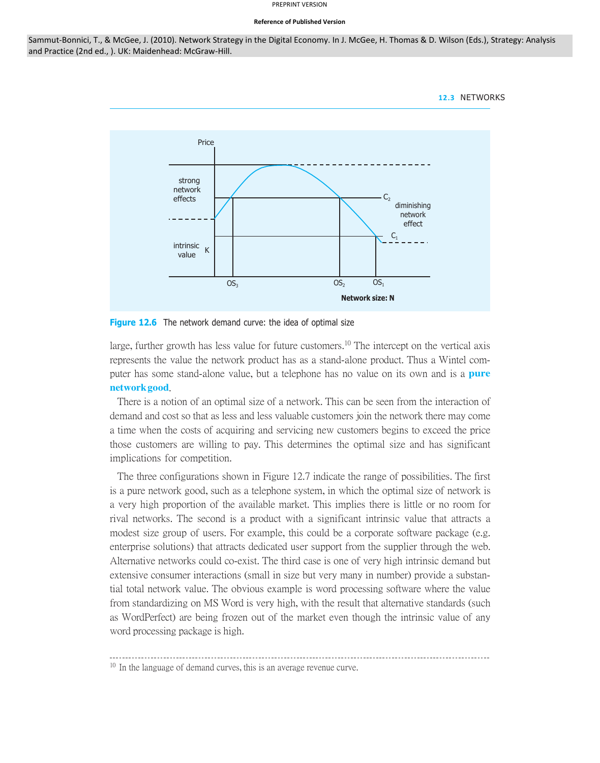### **Reference of Published Version**

Sammut-Bonnici, T., & McGee, J. (2010). Network Strategy in the Digital Economy. In J. McGee, H. Thomas & D. Wilson (Eds.), Strategy: Analysis and Practice (2nd ed., ). UK: Maidenhead: McGraw-Hill.

**12.3** NETWORKS



**Figure 12.6** The network demand curve: the idea of optimal size

large, further growth has less value for future customers.<sup>10</sup> The intercept on the vertical axis represents the value the network product has as a stand-alone product. Thus a Wintel computer has some stand-alone value, but a telephone has no value on its own and is a **pure network good**.

There is a notion of an optimal size of a network. This can be seen from the interaction of demand and cost so that as less and less valuable customers join the network there may come a time when the costs of acquiring and servicing new customers begins to exceed the price those customers are willing to pay. This determines the optimal size and has significant implications for competition.

The three configurations shown in Figure 12.7 indicate the range of possibilities. The first is a pure network good, such as a telephone system, in which the optimal size of network is a very high proportion of the available market. This implies there is little or no room for rival networks. The second is a product with a significant intrinsic value that attracts a modest size group of users. For example, this could be a corporate software package (e.g. enterprise solutions) that attracts dedicated user support from the supplier through the web. Alternative networks could co-exist. The third case is one of very high intrinsic demand but extensive consumer interactions (small in size but very many in number) provide a substantial total network value. The obvious example is word processing software where the value from standardizing on MS Word is very high, with the result that alternative standards (such as WordPerfect) are being frozen out of the market even though the intrinsic value of any word processing package is high.

 $10$  In the language of demand curves, this is an average revenue curve.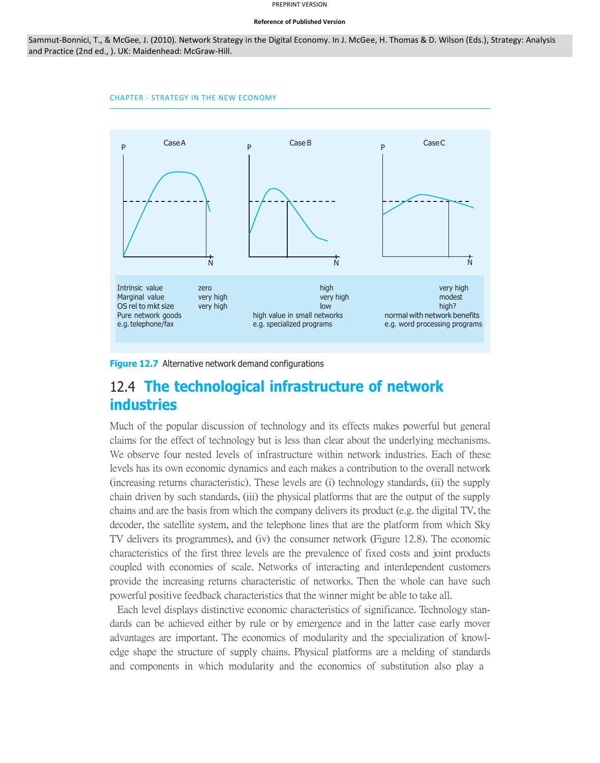### **Reference of Published Version**

Sammut-Bonnici, T., & McGee, J. (2010). Network Strategy in the Digital Economy. In J. McGee, H. Thomas & D. Wilson (Eds.), Strategy: Analysis and Practice (2nd ed., ). UK: Maidenhead: McGraw-Hill.



CHAPTER - STRATEGY IN THE NEW ECONOMY

**Figure 12.7** Alternative network demand configurations

# 12.4 **The technological infrastructure of network industries**

Much of the popular discussion of technology and its effects makes powerful but general claims for the effect of technology but is less than clear about the underlying mechanisms. We observe four nested levels of infrastructure within network industries. Each of these levels has its own economic dynamics and each makes a contribution to the overall network (increasing returns characteristic). These levels are (i) technology standards, (ii) the supply chain driven by such standards, (iii) the physical platforms that are the output of the supply chains and are the basis from which the company delivers its product (e.g. the digital TV, the decoder, the satellite system, and the telephone lines that are the platform from which Sky TV delivers its programmes), and (iv) the consumer network (Figure 12.8). The economic characteristics of the first three levels are the prevalence of fixed costs and joint products coupled with economies of scale. Networks of interacting and interdependent customers provide the increasing returns characteristic of networks. Then the whole can have such powerful positive feedback characteristics that the winner might be able to take all.

Each level displays distinctive economic characteristics of significance. Technology standards can be achieved either by rule or by emergence and in the latter case early mover advantages are important. The economics of modularity and the specialization of knowledge shape the structure of supply chains. Physical platforms are a melding of standards and components in which modularity and the economics of substitution also play a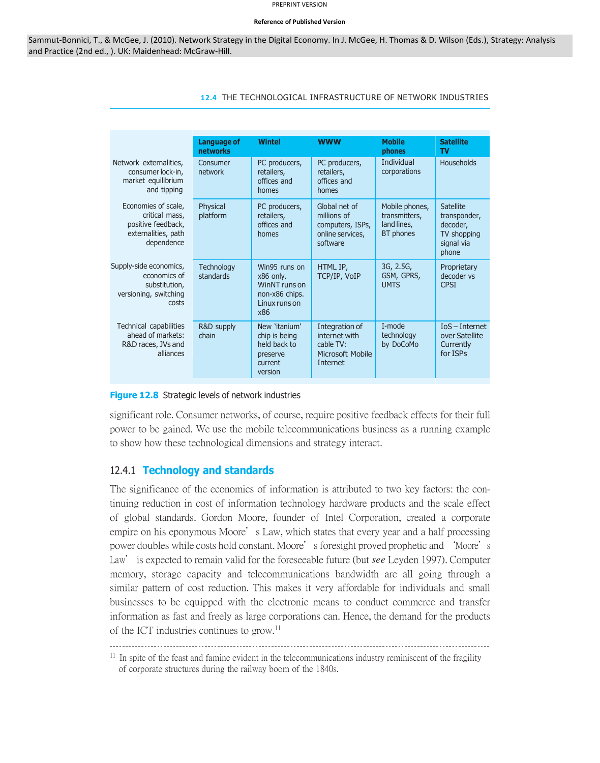### **Reference of Published Version**

Sammut-Bonnici, T., & McGee, J. (2010). Network Strategy in the Digital Economy. In J. McGee, H. Thomas & D. Wilson (Eds.), Strategy: Analysis and Practice (2nd ed., ). UK: Maidenhead: McGraw-Hill.

|                                                                                                  | <b>Language of</b><br><b>networks</b> | <b>Wintel</b>                                                                         | <b>WWW</b>                                                                       | <b>Mobile</b><br>phones                                     | <b>Satellite</b><br>т٧                                                      |
|--------------------------------------------------------------------------------------------------|---------------------------------------|---------------------------------------------------------------------------------------|----------------------------------------------------------------------------------|-------------------------------------------------------------|-----------------------------------------------------------------------------|
| Network externalities,<br>consumer lock-in,<br>market equilibrium<br>and tipping                 | Consumer<br>network                   | PC producers,<br>retailers,<br>offices and<br>homes                                   | PC producers,<br>retailers,<br>offices and<br>homes                              | <b>Individual</b><br>corporations                           | <b>Households</b>                                                           |
| Economies of scale,<br>critical mass,<br>positive feedback,<br>externalities, path<br>dependence | Physical<br>platform                  | PC producers,<br>retailers,<br>offices and<br>homes                                   | Global net of<br>millions of<br>computers, ISPs,<br>online services,<br>software | Mobile phones,<br>transmitters,<br>land lines,<br>BT phones | Satellite<br>transponder,<br>decoder,<br>TV shopping<br>signal via<br>phone |
| Supply-side economics,<br>economics of<br>substitution,<br>versioning, switching<br>costs        | Technology<br>standards               | Win95 runs on<br>x86 only.<br>WinNT runs on<br>non-x86 chips.<br>Linux runs on<br>x86 | HTML IP,<br>TCP/IP, VoIP                                                         | 3G, 2.5G,<br>GSM, GPRS,<br><b>UMTS</b>                      | Proprietary<br>decoder vs<br><b>CPSI</b>                                    |
| Technical capabilities<br>ahead of markets:<br>R&D races, JVs and<br>alliances                   | R&D supply<br>chain                   | New 'itanium'<br>chip is being<br>held back to<br>preserve<br>current<br>version      | Integration of<br>internet with<br>cable TV:<br>Microsoft Mobile<br>Internet     | I-mode<br>technology<br>by DoCoMo                           | $IoS$ – Internet<br>over Satellite<br>Currently<br>for ISPs                 |

## **12.4** THE TECHNOLOGICAL INFRASTRUCTURE OF NETWORK INDUSTRIES

### **Figure 12.8** Strategic levels of network industries

significant role. Consumer networks, of course, require positive feedback effects for their full power to be gained. We use the mobile telecommunications business as a running example to show how these technological dimensions and strategy interact.

# 12.4.1 **Technology and standards**

The significance of the economics of information is attributed to two key factors: the continuing reduction in cost of information technology hardware products and the scale effect of global standards. Gordon Moore, founder of Intel Corporation, created a corporate empire on his eponymous Moore's Law, which states that every year and a half processing power doubles while costs hold constant. Moore's foresight proved prophetic and 'Moore's Law' is expected to remain valid for the foreseeable future (but *see* Leyden 1997). Computer memory, storage capacity and telecommunications bandwidth are all going through a similar pattern of cost reduction. This makes it very affordable for individuals and small businesses to be equipped with the electronic means to conduct commerce and transfer information as fast and freely as large corporations can. Hence, the demand for the products of the ICT industries continues to grow.<sup>11</sup>

 $11$  In spite of the feast and famine evident in the telecommunications industry reminiscent of the fragility of corporate structures during the railway boom of the 1840s.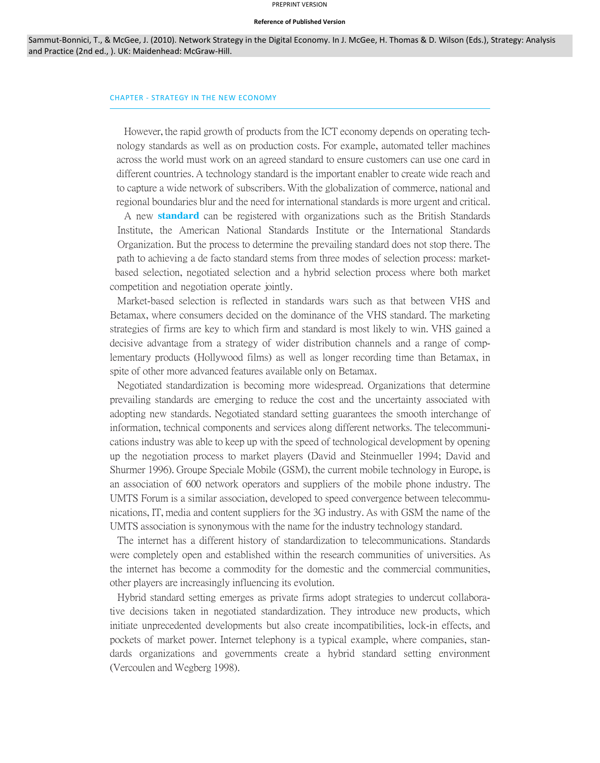### **Reference of Published Version**

Sammut-Bonnici, T., & McGee, J. (2010). Network Strategy in the Digital Economy. In J. McGee, H. Thomas & D. Wilson (Eds.), Strategy: Analysis and Practice (2nd ed., ). UK: Maidenhead: McGraw-Hill.

## CHAPTER - STRATEGY IN THE NEW ECONOMY

However, the rapid growth of products from the ICT economy depends on operating technology standards as well as on production costs. For example, automated teller machines across the world must work on an agreed standard to ensure customers can use one card in different countries. A technology standard is the important enabler to create wide reach and to capture a wide network of subscribers. With the globalization of commerce, national and regional boundaries blur and the need for international standards is more urgent and critical.

A new **standard** can be registered with organizations such as the British Standards Institute, the American National Standards Institute or the International Standards Organization. But the process to determine the prevailing standard does not stop there. The path to achieving a de facto standard stems from three modes of selection process: marketbased selection, negotiated selection and a hybrid selection process where both market competition and negotiation operate jointly.

Market-based selection is reflected in standards wars such as that between VHS and Betamax, where consumers decided on the dominance of the VHS standard. The marketing strategies of firms are key to which firm and standard is most likely to win. VHS gained a decisive advantage from a strategy of wider distribution channels and a range of complementary products (Hollywood films) as well as longer recording time than Betamax, in spite of other more advanced features available only on Betamax.

Negotiated standardization is becoming more widespread. Organizations that determine prevailing standards are emerging to reduce the cost and the uncertainty associated with adopting new standards. Negotiated standard setting guarantees the smooth interchange of information, technical components and services along different networks. The telecommunications industry was able to keep up with the speed of technological development by opening up the negotiation process to market players (David and Steinmueller 1994; David and Shurmer 1996). Groupe Speciale Mobile (GSM), the current mobile technology in Europe, is an association of 600 network operators and suppliers of the mobile phone industry. The UMTS Forum is a similar association, developed to speed convergence between telecommunications, IT, media and content suppliers for the 3G industry. As with GSM the name of the UMTS association is synonymous with the name for the industry technology standard.

The internet has a different history of standardization to telecommunications. Standards were completely open and established within the research communities of universities. As the internet has become a commodity for the domestic and the commercial communities, other players are increasingly influencing its evolution.

Hybrid standard setting emerges as private firms adopt strategies to undercut collaborative decisions taken in negotiated standardization. They introduce new products, which initiate unprecedented developments but also create incompatibilities, lock-in effects, and pockets of market power. Internet telephony is a typical example, where companies, standards organizations and governments create a hybrid standard setting environment (Vercoulen and Wegberg 1998).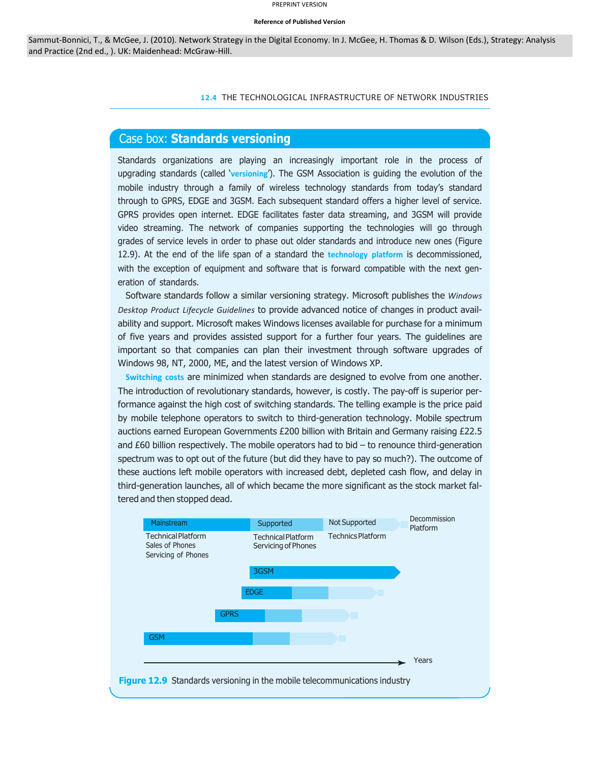#### **Reference of Published Version**

Sammut-Bonnici, T., & McGee, J. (2010). Network Strategy in the Digital Economy. In J. McGee, H. Thomas & D. Wilson (Eds.), Strategy: Analysis and Practice (2nd ed., ). UK: Maidenhead: McGraw-Hill.

### **12.4** THE TECHNOLOGICAL INFRASTRUCTURE OF NETWORK INDUSTRIES

# Case box: **Standards versioning**

Standards organizations are playing an increasingly important role in the process of upgrading standards (called '**versioning**'). The GSM Association is guiding the evolution of the mobile industry through a family of wireless technology standards from today's standard through to GPRS, EDGE and 3GSM. Each subsequent standard offers a higher level of service. GPRS provides open internet. EDGE facilitates faster data streaming, and 3GSM will provide video streaming. The network of companies supporting the technologies will go through grades of service levels in order to phase out older standards and introduce new ones (Figure 12.9). At the end of the life span of a standard the **technology platform** is decommissioned, with the exception of equipment and software that is forward compatible with the next generation of standards.

Software standards follow a similar versioning strategy. Microsoft publishes the *Windows Desktop Product Lifecycle Guidelines* to provide advanced notice of changes in product availability and support. Microsoft makes Windows licenses available for purchase for a minimum of five years and provides assisted support for a further four years. The guidelines are important so that companies can plan their investment through software upgrades of Windows 98, NT, 2000, ME, and the latest version of Windows XP.

**Switching costs** are minimized when standards are designed to evolve from one another. The introduction of revolutionary standards, however, is costly. The pay-off is superior performance against the high cost of switching standards. The telling example is the price paid by mobile telephone operators to switch to third-generation technology. Mobile spectrum auctions earned European Governments £200 billion with Britain and Germany raising £22.5 and £60 billion respectively. The mobile operators had to bid – to renounce third-generation spectrum was to opt out of the future (but did they have to pay so much?). The outcome of these auctions left mobile operators with increased debt, depleted cash flow, and delay in third-generation launches, all of which became the more significant as the stock market faltered and then stopped dead.

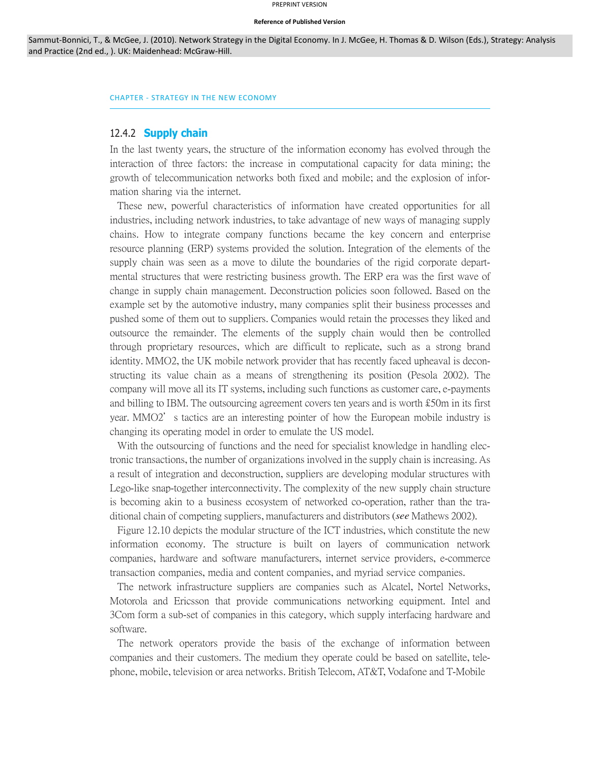### **Reference of Published Version**

Sammut-Bonnici, T., & McGee, J. (2010). Network Strategy in the Digital Economy. In J. McGee, H. Thomas & D. Wilson (Eds.), Strategy: Analysis and Practice (2nd ed., ). UK: Maidenhead: McGraw-Hill.

CHAPTER - STRATEGY IN THE NEW ECONOMY

# 12.4.2 **Supply chain**

In the last twenty years, the structure of the information economy has evolved through the interaction of three factors: the increase in computational capacity for data mining; the growth of telecommunication networks both fixed and mobile; and the explosion of information sharing via the internet.

These new, powerful characteristics of information have created opportunities for all industries, including network industries, to take advantage of new ways of managing supply chains. How to integrate company functions became the key concern and enterprise resource planning (ERP) systems provided the solution. Integration of the elements of the supply chain was seen as a move to dilute the boundaries of the rigid corporate departmental structures that were restricting business growth. The ERP era was the first wave of change in supply chain management. Deconstruction policies soon followed. Based on the example set by the automotive industry, many companies split their business processes and pushed some of them out to suppliers. Companies would retain the processes they liked and outsource the remainder. The elements of the supply chain would then be controlled through proprietary resources, which are difficult to replicate, such as a strong brand identity. MMO2, the UK mobile network provider that has recently faced upheaval is deconstructing its value chain as a means of strengthening its position (Pesola 2002). The company will move all its IT systems, including such functions as customer care, e-payments and billing to IBM. The outsourcing agreement covers ten years and is worth  $\text{\pounds}50m$  in its first year. MMO2<sup>'</sup> s tactics are an interesting pointer of how the European mobile industry is changing its operating model in order to emulate the US model.

With the outsourcing of functions and the need for specialist knowledge in handling electronic transactions, the number of organizations involved in the supply chain is increasing. As a result of integration and deconstruction, suppliers are developing modular structures with Lego-like snap-together interconnectivity. The complexity of the new supply chain structure is becoming akin to a business ecosystem of networked co-operation, rather than the traditional chain of competing suppliers, manufacturers and distributors (*see* Mathews 2002).

Figure 12.10 depicts the modular structure of the ICT industries, which constitute the new information economy. The structure is built on layers of communication network companies, hardware and software manufacturers, internet service providers, e-commerce transaction companies, media and content companies, and myriad service companies.

The network infrastructure suppliers are companies such as Alcatel, Nortel Networks, Motorola and Ericsson that provide communications networking equipment. Intel and 3Com form a sub-set of companies in this category, which supply interfacing hardware and software.

The network operators provide the basis of the exchange of information between companies and their customers. The medium they operate could be based on satellite, telephone, mobile, television or area networks. British Telecom, AT&T, Vodafone and T-Mobile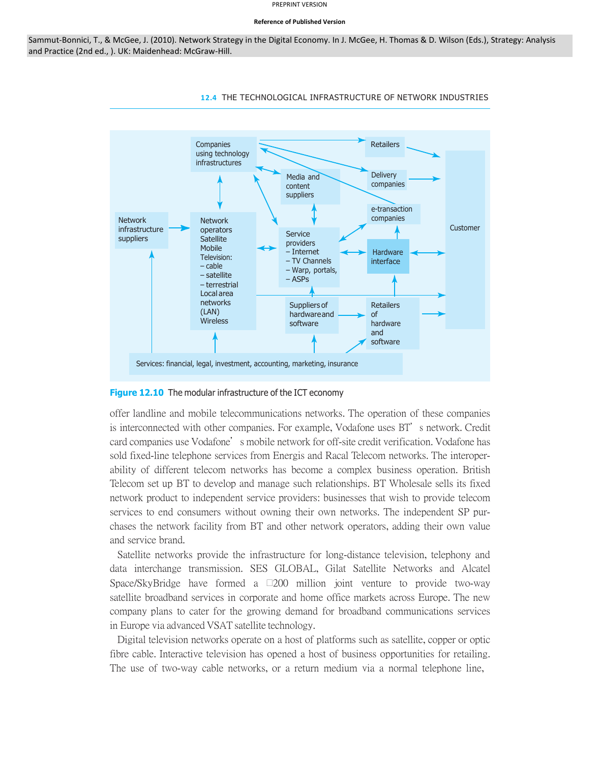### **Reference of Published Version**

Sammut-Bonnici, T., & McGee, J. (2010). Network Strategy in the Digital Economy. In J. McGee, H. Thomas & D. Wilson (Eds.), Strategy: Analysis and Practice (2nd ed., ). UK: Maidenhead: McGraw-Hill.



### **12.4** THE TECHNOLOGICAL INFRASTRUCTURE OF NETWORK INDUSTRIES

## **Figure 12.10** The modular infrastructure of the ICT economy

offer landline and mobile telecommunications networks. The operation of these companies is interconnected with other companies. For example, Vodafone uses BT's network. Credit card companies use Vodafone's mobile network for off-site credit verification. Vodafone has sold fixed-line telephone services from Energis and Racal Telecom networks. The interoperability of different telecom networks has become a complex business operation. British Telecom set up BT to develop and manage such relationships. BT Wholesale sells its fixed network product to independent service providers: businesses that wish to provide telecom services to end consumers without owning their own networks. The independent SP purchases the network facility from BT and other network operators, adding their own value and service brand.

Satellite networks provide the infrastructure for long-distance television, telephony and data interchange transmission. SES GLOBAL, Gilat Satellite Networks and Alcatel Space/SkyBridge have formed a  $\square 200$  million joint venture to provide two-way satellite broadband services in corporate and home office markets across Europe. The new company plans to cater for the growing demand for broadband communications services in Europe via advanced VSAT satellite technology.

Digital television networks operate on a host of platforms such as satellite, copper or optic fibre cable. Interactive television has opened a host of business opportunities for retailing. The use of two-way cable networks, or a return medium via a normal telephone line,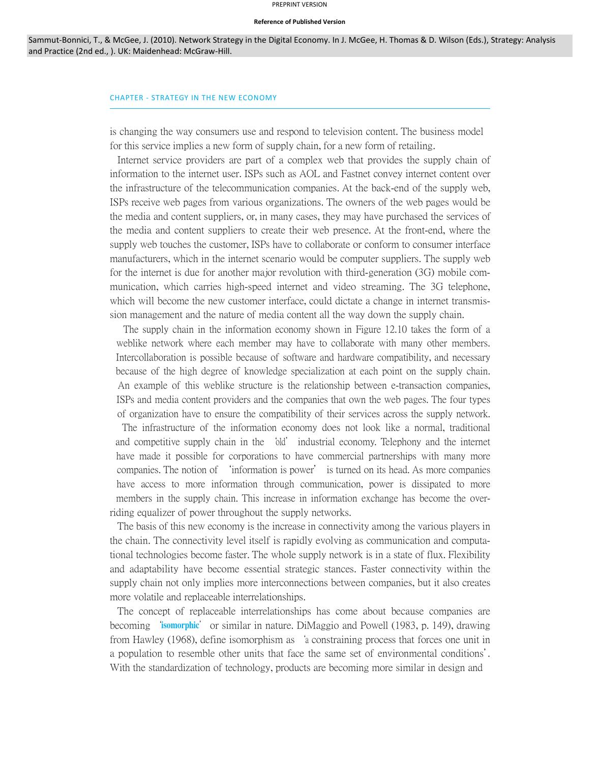### **Reference of Published Version**

Sammut-Bonnici, T., & McGee, J. (2010). Network Strategy in the Digital Economy. In J. McGee, H. Thomas & D. Wilson (Eds.), Strategy: Analysis and Practice (2nd ed., ). UK: Maidenhead: McGraw-Hill.

### CHAPTER - STRATEGY IN THE NEW ECONOMY

is changing the way consumers use and respond to television content. The business model for this service implies a new form of supply chain, for a new form of retailing.

Internet service providers are part of a complex web that provides the supply chain of information to the internet user. ISPs such as AOL and Fastnet convey internet content over the infrastructure of the telecommunication companies. At the back-end of the supply web, ISPs receive web pages from various organizations. The owners of the web pages would be the media and content suppliers, or, in many cases, they may have purchased the services of the media and content suppliers to create their web presence. At the front-end, where the supply web touches the customer, ISPs have to collaborate or conform to consumer interface manufacturers, which in the internet scenario would be computer suppliers. The supply web for the internet is due for another major revolution with third-generation (3G) mobile communication, which carries high-speed internet and video streaming. The 3G telephone, which will become the new customer interface, could dictate a change in internet transmission management and the nature of media content all the way down the supply chain.

The supply chain in the information economy shown in Figure 12.10 takes the form of a weblike network where each member may have to collaborate with many other members. Intercollaboration is possible because of software and hardware compatibility, and necessary because of the high degree of knowledge specialization at each point on the supply chain. An example of this weblike structure is the relationship between e-transaction companies, ISPs and media content providers and the companies that own the web pages. The four types of organization have to ensure the compatibility of their services across the supply network.

The infrastructure of the information economy does not look like a normal, traditional and competitive supply chain in the 'old' industrial economy. Telephony and the internet have made it possible for corporations to have commercial partnerships with many more companies. The notion of 'information is power' is turned on its head. As more companies have access to more information through communication, power is dissipated to more members in the supply chain. This increase in information exchange has become the overriding equalizer of power throughout the supply networks.

The basis of this new economy is the increase in connectivity among the various players in the chain. The connectivity level itself is rapidly evolving as communication and computational technologies become faster. The whole supply network is in a state of flux. Flexibility and adaptability have become essential strategic stances. Faster connectivity within the supply chain not only implies more interconnections between companies, but it also creates more volatile and replaceable interrelationships.

The concept of replaceable interrelationships has come about because companies are becoming '**isomorphic**' or similar in nature. DiMaggio and Powell (1983, p. 149), drawing from Hawley (1968), define isomorphism as 'a constraining process that forces one unit in a population to resemble other units that face the same set of environmental conditions'. With the standardization of technology, products are becoming more similar in design and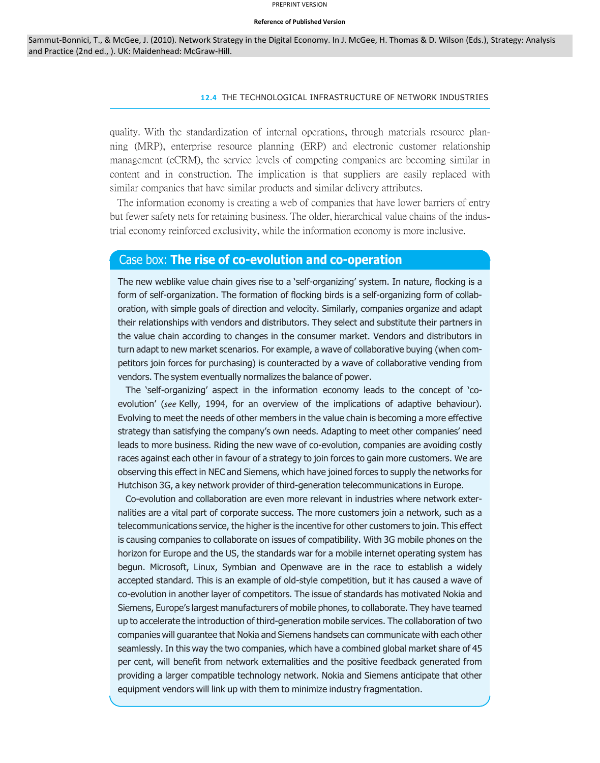#### **Reference of Published Version**

Sammut-Bonnici, T., & McGee, J. (2010). Network Strategy in the Digital Economy. In J. McGee, H. Thomas & D. Wilson (Eds.), Strategy: Analysis and Practice (2nd ed., ). UK: Maidenhead: McGraw-Hill.

# **12.4** THE TECHNOLOGICAL INFRASTRUCTURE OF NETWORK INDUSTRIES

quality. With the standardization of internal operations, through materials resource planning (MRP), enterprise resource planning (ERP) and electronic customer relationship management (eCRM), the service levels of competing companies are becoming similar in content and in construction. The implication is that suppliers are easily replaced with similar companies that have similar products and similar delivery attributes.

The information economy is creating a web of companies that have lower barriers of entry but fewer safety nets for retaining business. The older, hierarchical value chains of the industrial economy reinforced exclusivity, while the information economy is more inclusive.

# Case box: **The rise of co-evolution and co-operation**

The new weblike value chain gives rise to a 'self-organizing' system. In nature, flocking is a form of self-organization. The formation of flocking birds is a self-organizing form of collaboration, with simple goals of direction and velocity. Similarly, companies organize and adapt their relationships with vendors and distributors. They select and substitute their partners in the value chain according to changes in the consumer market. Vendors and distributors in turn adapt to new market scenarios. For example, a wave of collaborative buying (when competitors join forces for purchasing) is counteracted by a wave of collaborative vending from vendors. The system eventually normalizes the balance of power.

The 'self-organizing' aspect in the information economy leads to the concept of 'coevolution' (*see* Kelly, 1994, for an overview of the implications of adaptive behaviour). Evolving to meet the needs of other members in the value chain is becoming a more effective strategy than satisfying the company's own needs. Adapting to meet other companies' need leads to more business. Riding the new wave of co-evolution, companies are avoiding costly races against each other in favour of a strategy to join forces to gain more customers. We are observing this effect in NEC and Siemens, which have joined forces to supply the networks for Hutchison 3G, a key network provider of third-generation telecommunications in Europe.

Co-evolution and collaboration are even more relevant in industries where network externalities are a vital part of corporate success. The more customers join a network, such as a telecommunications service, the higher is the incentive for other customers to join. This effect is causing companies to collaborate on issues of compatibility. With 3G mobile phones on the horizon for Europe and the US, the standards war for a mobile internet operating system has begun. Microsoft, Linux, Symbian and Openwave are in the race to establish a widely accepted standard. This is an example of old-style competition, but it has caused a wave of co-evolution in another layer of competitors. The issue of standards has motivated Nokia and Siemens, Europe's largest manufacturers of mobile phones, to collaborate. They have teamed up to accelerate the introduction of third-generation mobile services. The collaboration of two companies will guarantee that Nokia and Siemens handsets can communicate with each other seamlessly. In this way the two companies, which have a combined global market share of 45 per cent, will benefit from network externalities and the positive feedback generated from providing a larger compatible technology network. Nokia and Siemens anticipate that other equipment vendors will link up with them to minimize industry fragmentation.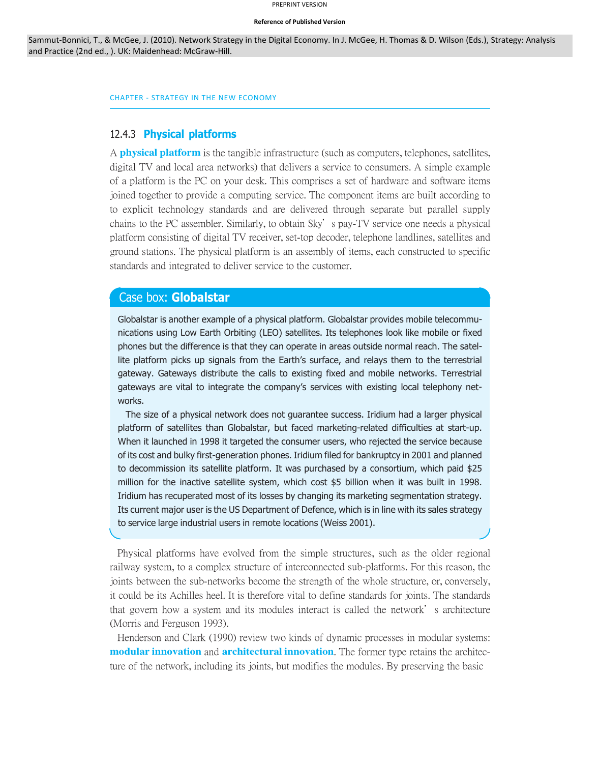### **Reference of Published Version**

Sammut-Bonnici, T., & McGee, J. (2010). Network Strategy in the Digital Economy. In J. McGee, H. Thomas & D. Wilson (Eds.), Strategy: Analysis and Practice (2nd ed., ). UK: Maidenhead: McGraw-Hill.

CHAPTER - STRATEGY IN THE NEW ECONOMY

# 12.4.3 **Physical platforms**

A **physical platform** is the tangible infrastructure (such as computers, telephones, satellites, digital TV and local area networks) that delivers a service to consumers. A simple example of a platform is the PC on your desk. This comprises a set of hardware and software items joined together to provide a computing service. The component items are built according to to explicit technology standards and are delivered through separate but parallel supply chains to the PC assembler. Similarly, to obtain Sky's pay-TV service one needs a physical platform consisting of digital TV receiver, set-top decoder, telephone landlines, satellites and ground stations. The physical platform is an assembly of items, each constructed to specific standards and integrated to deliver service to the customer.

# Case box: **Globalstar**

Globalstar is another example of a physical platform. Globalstar provides mobile telecommunications using Low Earth Orbiting (LEO) satellites. Its telephones look like mobile or fixed phones but the difference is that they can operate in areas outside normal reach. The satellite platform picks up signals from the Earth's surface, and relays them to the terrestrial gateway. Gateways distribute the calls to existing fixed and mobile networks. Terrestrial gateways are vital to integrate the company's services with existing local telephony networks.

The size of a physical network does not guarantee success. Iridium had a larger physical platform of satellites than Globalstar, but faced marketing-related difficulties at start-up. When it launched in 1998 it targeted the consumer users, who rejected the service because of its cost and bulky first-generation phones. Iridium filed for bankruptcy in 2001 and planned to decommission its satellite platform. It was purchased by a consortium, which paid \$25 million for the inactive satellite system, which cost \$5 billion when it was built in 1998. Iridium has recuperated most of its losses by changing its marketing segmentation strategy. Its current major user is the US Department of Defence, which is in line with its sales strategy to service large industrial users in remote locations (Weiss 2001).

Physical platforms have evolved from the simple structures, such as the older regional railway system, to a complex structure of interconnected sub-platforms. For this reason, the joints between the sub-networks become the strength of the whole structure, or, conversely, it could be its Achilles heel. It is therefore vital to define standards for joints. The standards that govern how a system and its modules interact is called the network's architecture (Morris and Ferguson 1993).

Henderson and Clark (1990) review two kinds of dynamic processes in modular systems: **modular innovation** and **architectural innovation**. The former type retains the architecture of the network, including its joints, but modifies the modules. By preserving the basic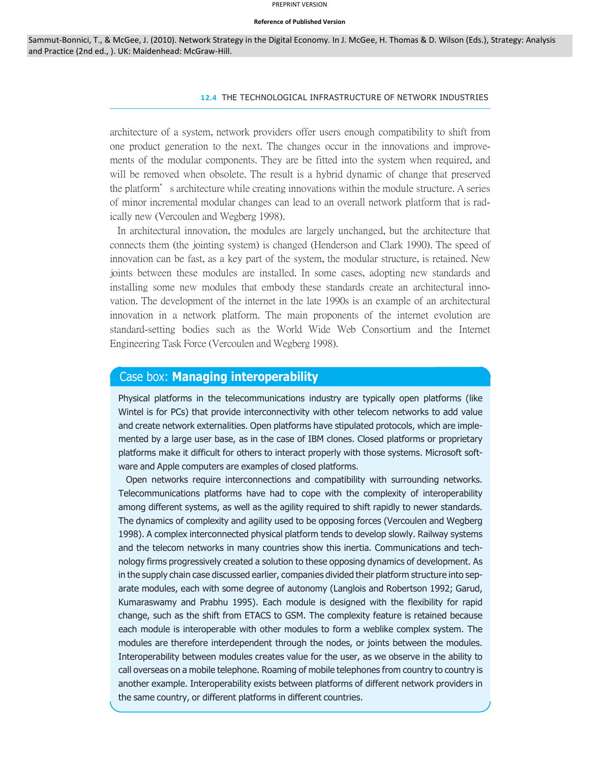#### **Reference of Published Version**

Sammut-Bonnici, T., & McGee, J. (2010). Network Strategy in the Digital Economy. In J. McGee, H. Thomas & D. Wilson (Eds.), Strategy: Analysis and Practice (2nd ed., ). UK: Maidenhead: McGraw-Hill.

# **12.4** THE TECHNOLOGICAL INFRASTRUCTURE OF NETWORK INDUSTRIES

architecture of a system, network providers offer users enough compatibility to shift from one product generation to the next. The changes occur in the innovations and improvements of the modular components. They are be fitted into the system when required, and will be removed when obsolete. The result is a hybrid dynamic of change that preserved the platform's architecture while creating innovations within the module structure. A series of minor incremental modular changes can lead to an overall network platform that is radically new (Vercoulen and Wegberg 1998).

In architectural innovation, the modules are largely unchanged, but the architecture that connects them (the jointing system) is changed (Henderson and Clark 1990). The speed of innovation can be fast, as a key part of the system, the modular structure, is retained. New joints between these modules are installed. In some cases, adopting new standards and installing some new modules that embody these standards create an architectural innovation. The development of the internet in the late 1990s is an example of an architectural innovation in a network platform. The main proponents of the internet evolution are standard-setting bodies such as the World Wide Web Consortium and the Internet Engineering Task Force (Vercoulen and Wegberg 1998).

# Case box: **Managing interoperability**

Physical platforms in the telecommunications industry are typically open platforms (like Wintel is for PCs) that provide interconnectivity with other telecom networks to add value and create network externalities. Open platforms have stipulated protocols, which are implemented by a large user base, as in the case of IBM clones. Closed platforms or proprietary platforms make it difficult for others to interact properly with those systems. Microsoft software and Apple computers are examples of closed platforms.

Open networks require interconnections and compatibility with surrounding networks. Telecommunications platforms have had to cope with the complexity of interoperability among different systems, as well as the agility required to shift rapidly to newer standards. The dynamics of complexity and agility used to be opposing forces (Vercoulen and Wegberg 1998). A complex interconnected physical platform tends to develop slowly. Railway systems and the telecom networks in many countries show this inertia. Communications and technology firms progressively created a solution to these opposing dynamics of development. As in the supply chain case discussed earlier, companies divided their platform structure into separate modules, each with some degree of autonomy (Langlois and Robertson 1992; Garud, Kumaraswamy and Prabhu 1995). Each module is designed with the flexibility for rapid change, such as the shift from ETACS to GSM. The complexity feature is retained because each module is interoperable with other modules to form a weblike complex system. The modules are therefore interdependent through the nodes, or joints between the modules. Interoperability between modules creates value for the user, as we observe in the ability to call overseas on a mobile telephone. Roaming of mobile telephones from country to country is another example. Interoperability exists between platforms of different network providers in the same country, or different platforms in different countries.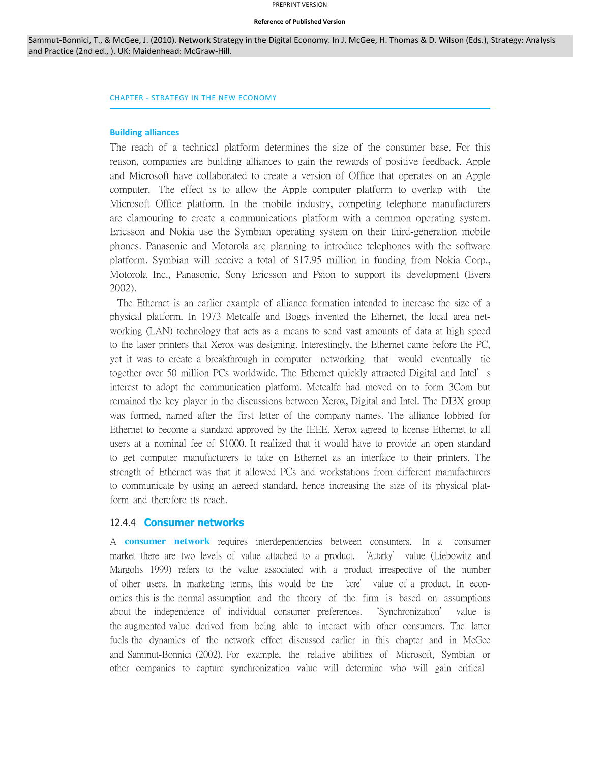### **Reference of Published Version**

Sammut-Bonnici, T., & McGee, J. (2010). Network Strategy in the Digital Economy. In J. McGee, H. Thomas & D. Wilson (Eds.), Strategy: Analysis and Practice (2nd ed., ). UK: Maidenhead: McGraw-Hill.

### CHAPTER - STRATEGY IN THE NEW ECONOMY

### **Building alliances**

The reach of a technical platform determines the size of the consumer base. For this reason, companies are building alliances to gain the rewards of positive feedback. Apple and Microsoft have collaborated to create a version of Office that operates on an Apple computer. The effect is to allow the Apple computer platform to overlap with the Microsoft Office platform. In the mobile industry, competing telephone manufacturers are clamouring to create a communications platform with a common operating system. Ericsson and Nokia use the Symbian operating system on their third-generation mobile phones. Panasonic and Motorola are planning to introduce telephones with the software platform. Symbian will receive a total of \$17.95 million in funding from Nokia Corp., Motorola Inc., Panasonic, Sony Ericsson and Psion to support its development (Evers 2002).

The Ethernet is an earlier example of alliance formation intended to increase the size of a physical platform. In 1973 Metcalfe and Boggs invented the Ethernet, the local area networking (LAN) technology that acts as a means to send vast amounts of data at high speed to the laser printers that Xerox was designing. Interestingly, the Ethernet came before the PC, yet it was to create a breakthrough in computer networking that would eventually tie together over 50 million PCs worldwide. The Ethernet quickly attracted Digital and Intel's interest to adopt the communication platform. Metcalfe had moved on to form 3Com but remained the key player in the discussions between Xerox, Digital and Intel. The DI3X group was formed, named after the first letter of the company names. The alliance lobbied for Ethernet to become a standard approved by the IEEE. Xerox agreed to license Ethernet to all users at a nominal fee of \$1000. It realized that it would have to provide an open standard to get computer manufacturers to take on Ethernet as an interface to their printers. The strength of Ethernet was that it allowed PCs and workstations from different manufacturers to communicate by using an agreed standard, hence increasing the size of its physical platform and therefore its reach.

# 12.4.4 **Consumer networks**

A **consumer network** requires interdependencies between consumers. In a consumer market there are two levels of value attached to a product. 'Autarky' value (Liebowitz and Margolis 1999) refers to the value associated with a product irrespective of the number of other users. In marketing terms, this would be the 'core' value of a product. In economics this is the normal assumption and the theory of the firm is based on assumptions about the independence of individual consumer preferences. 'Synchronization' value is the augmented value derived from being able to interact with other consumers. The latter fuels the dynamics of the network effect discussed earlier in this chapter and in McGee and Sammut-Bonnici (2002). For example, the relative abilities of Microsoft, Symbian or other companies to capture synchronization value will determine who will gain critical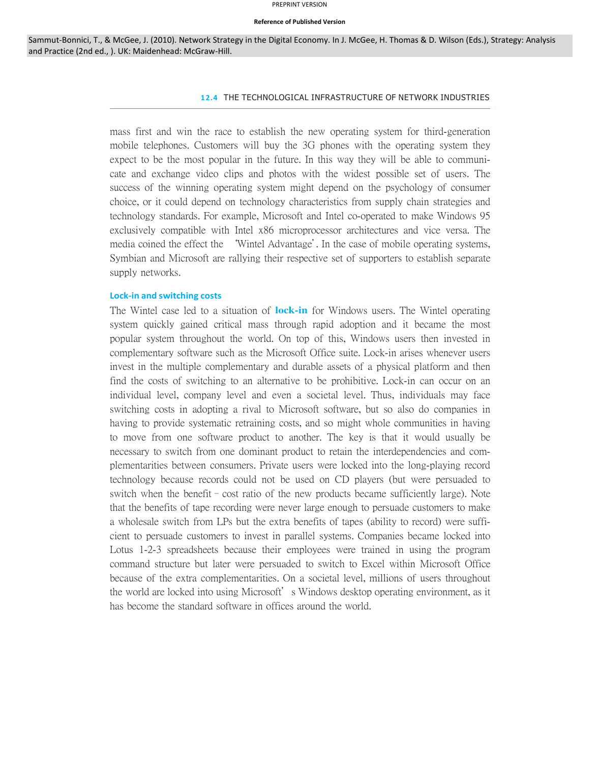### **Reference of Published Version**

Sammut-Bonnici, T., & McGee, J. (2010). Network Strategy in the Digital Economy. In J. McGee, H. Thomas & D. Wilson (Eds.), Strategy: Analysis and Practice (2nd ed., ). UK: Maidenhead: McGraw-Hill.

# **12.4** THE TECHNOLOGICAL INFRASTRUCTURE OF NETWORK INDUSTRIES

mass first and win the race to establish the new operating system for third-generation mobile telephones. Customers will buy the 3G phones with the operating system they expect to be the most popular in the future. In this way they will be able to communicate and exchange video clips and photos with the widest possible set of users. The success of the winning operating system might depend on the psychology of consumer choice, or it could depend on technology characteristics from supply chain strategies and technology standards. For example, Microsoft and Intel co-operated to make Windows 95 exclusively compatible with Intel x86 microprocessor architectures and vice versa. The media coined the effect the 'Wintel Advantage'. In the case of mobile operating systems, Symbian and Microsoft are rallying their respective set of supporters to establish separate supply networks.

# **Lock-in and switching costs**

The Wintel case led to a situation of **lock-in** for Windows users. The Wintel operating system quickly gained critical mass through rapid adoption and it became the most popular system throughout the world. On top of this, Windows users then invested in complementary software such as the Microsoft Office suite. Lock-in arises whenever users invest in the multiple complementary and durable assets of a physical platform and then find the costs of switching to an alternative to be prohibitive. Lock-in can occur on an individual level, company level and even a societal level. Thus, individuals may face switching costs in adopting a rival to Microsoft software, but so also do companies in having to provide systematic retraining costs, and so might whole communities in having to move from one software product to another. The key is that it would usually be necessary to switch from one dominant product to retain the interdependencies and complementarities between consumers. Private users were locked into the long-playing record technology because records could not be used on CD players (but were persuaded to switch when the benefit–cost ratio of the new products became sufficiently large). Note that the benefits of tape recording were never large enough to persuade customers to make a wholesale switch from LPs but the extra benefits of tapes (ability to record) were sufficient to persuade customers to invest in parallel systems. Companies became locked into Lotus 1-2-3 spreadsheets because their employees were trained in using the program command structure but later were persuaded to switch to Excel within Microsoft Office because of the extra complementarities. On a societal level, millions of users throughout the world are locked into using Microsoft's Windows desktop operating environment, as it has become the standard software in offices around the world.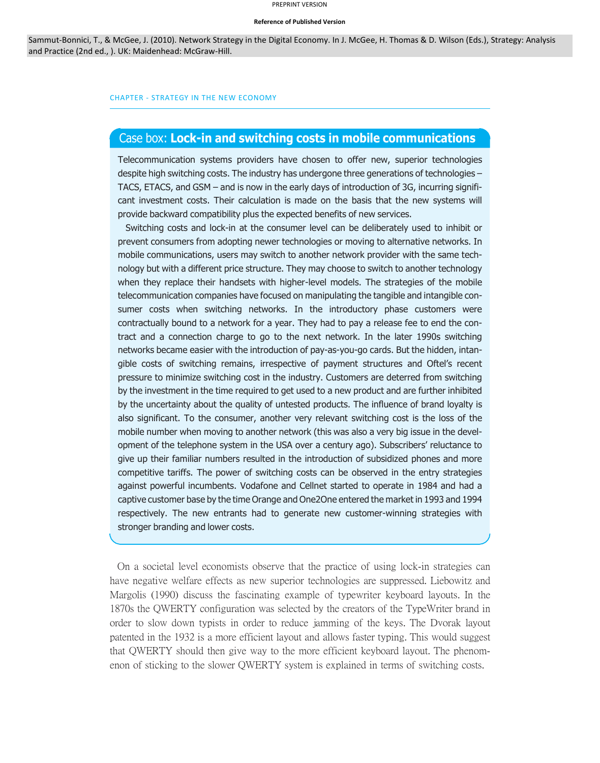### **Reference of Published Version**

Sammut-Bonnici, T., & McGee, J. (2010). Network Strategy in the Digital Economy. In J. McGee, H. Thomas & D. Wilson (Eds.), Strategy: Analysis and Practice (2nd ed., ). UK: Maidenhead: McGraw-Hill.

CHAPTER - STRATEGY IN THE NEW ECONOMY

# Case box: **Lock-in and switching costs in mobile communications**

Telecommunication systems providers have chosen to offer new, superior technologies despite high switching costs. The industry has undergone three generations of technologies – TACS, ETACS, and GSM – and is now in the early days of introduction of 3G, incurring significant investment costs. Their calculation is made on the basis that the new systems will provide backward compatibility plus the expected benefits of new services.

Switching costs and lock-in at the consumer level can be deliberately used to inhibit or prevent consumers from adopting newer technologies or moving to alternative networks. In mobile communications, users may switch to another network provider with the same technology but with a different price structure. They may choose to switch to another technology when they replace their handsets with higher-level models. The strategies of the mobile telecommunication companies have focused on manipulating the tangible and intangible consumer costs when switching networks. In the introductory phase customers were contractually bound to a network for a year. They had to pay a release fee to end the contract and a connection charge to go to the next network. In the later 1990s switching networks became easier with the introduction of pay-as-you-go cards. But the hidden, intangible costs of switching remains, irrespective of payment structures and Oftel's recent pressure to minimize switching cost in the industry. Customers are deterred from switching by the investment in the time required to get used to a new product and are further inhibited by the uncertainty about the quality of untested products. The influence of brand loyalty is also significant. To the consumer, another very relevant switching cost is the loss of the mobile number when moving to another network (this was also a very big issue in the development of the telephone system in the USA over a century ago). Subscribers' reluctance to give up their familiar numbers resulted in the introduction of subsidized phones and more competitive tariffs. The power of switching costs can be observed in the entry strategies against powerful incumbents. Vodafone and Cellnet started to operate in 1984 and had a captive customer base by the time Orange and One2One entered the market in 1993 and 1994 respectively. The new entrants had to generate new customer-winning strategies with stronger branding and lower costs.

On a societal level economists observe that the practice of using lock-in strategies can have negative welfare effects as new superior technologies are suppressed. Liebowitz and Margolis (1990) discuss the fascinating example of typewriter keyboard layouts. In the 1870s the QWERTY configuration was selected by the creators of the TypeWriter brand in order to slow down typists in order to reduce jamming of the keys. The Dvorak layout patented in the 1932 is a more efficient layout and allows faster typing. This would suggest that QWERTY should then give way to the more efficient keyboard layout. The phenomenon of sticking to the slower QWERTY system is explained in terms of switching costs.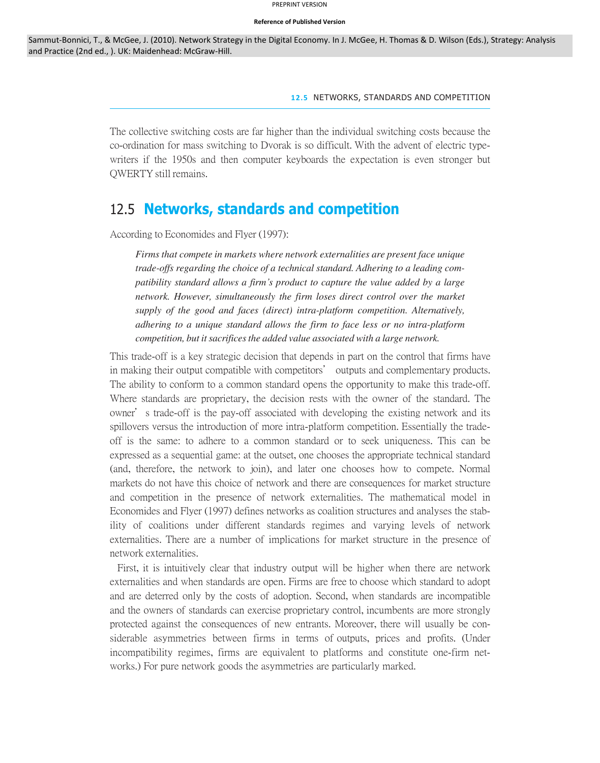### **Reference of Published Version**

Sammut-Bonnici, T., & McGee, J. (2010). Network Strategy in the Digital Economy. In J. McGee, H. Thomas & D. Wilson (Eds.), Strategy: Analysis and Practice (2nd ed., ). UK: Maidenhead: McGraw-Hill.

# **12.5** NETWORKS, STANDARDS AND COMPETITION

The collective switching costs are far higher than the individual switching costs because the co-ordination for mass switching to Dvorak is so difficult. With the advent of electric typewriters if the 1950s and then computer keyboards the expectation is even stronger but QWERTY still remains.

# 12.5 **Networks, standards and competition**

According to Economides and Flyer (1997):

*Firms that compete in markets where network externalities are present face unique trade-offs regarding the choice of a technical standard. Adhering to a leading compatibility standard allows a firm's product to capture the value added by a large network. However, simultaneously the firm loses direct control over the market supply of the good and faces (direct) intra-platform competition. Alternatively, adhering to a unique standard allows the firm to face less or no intra-platform competition, but it sacrifices the added value associated with a large network.*

This trade-off is a key strategic decision that depends in part on the control that firms have in making their output compatible with competitors' outputs and complementary products. The ability to conform to a common standard opens the opportunity to make this trade-off. Where standards are proprietary, the decision rests with the owner of the standard. The owner's trade-off is the pay-off associated with developing the existing network and its spillovers versus the introduction of more intra-platform competition. Essentially the tradeoff is the same: to adhere to a common standard or to seek uniqueness. This can be expressed as a sequential game: at the outset, one chooses the appropriate technical standard (and, therefore, the network to join), and later one chooses how to compete. Normal markets do not have this choice of network and there are consequences for market structure and competition in the presence of network externalities. The mathematical model in Economides and Flyer (1997) defines networks as coalition structures and analyses the stability of coalitions under different standards regimes and varying levels of network externalities. There are a number of implications for market structure in the presence of network externalities.

First, it is intuitively clear that industry output will be higher when there are network externalities and when standards are open. Firms are free to choose which standard to adopt and are deterred only by the costs of adoption. Second, when standards are incompatible and the owners of standards can exercise proprietary control, incumbents are more strongly protected against the consequences of new entrants. Moreover, there will usually be considerable asymmetries between firms in terms of outputs, prices and profits. (Under incompatibility regimes, firms are equivalent to platforms and constitute one-firm networks.) For pure network goods the asymmetries are particularly marked.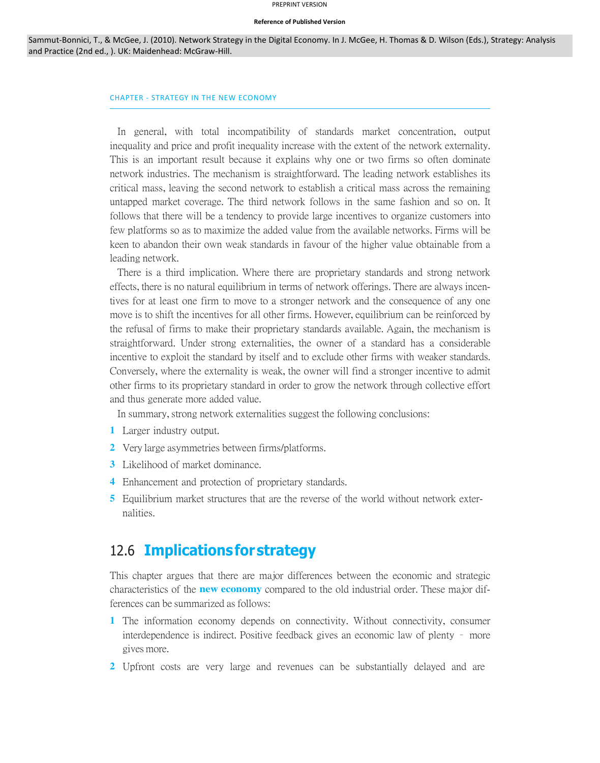### **Reference of Published Version**

Sammut-Bonnici, T., & McGee, J. (2010). Network Strategy in the Digital Economy. In J. McGee, H. Thomas & D. Wilson (Eds.), Strategy: Analysis and Practice (2nd ed., ). UK: Maidenhead: McGraw-Hill.

## CHAPTER - STRATEGY IN THE NEW ECONOMY

In general, with total incompatibility of standards market concentration, output inequality and price and profit inequality increase with the extent of the network externality. This is an important result because it explains why one or two firms so often dominate network industries. The mechanism is straightforward. The leading network establishes its critical mass, leaving the second network to establish a critical mass across the remaining untapped market coverage. The third network follows in the same fashion and so on. It follows that there will be a tendency to provide large incentives to organize customers into few platforms so as to maximize the added value from the available networks. Firms will be keen to abandon their own weak standards in favour of the higher value obtainable from a leading network.

There is a third implication. Where there are proprietary standards and strong network effects, there is no natural equilibrium in terms of network offerings. There are always incentives for at least one firm to move to a stronger network and the consequence of any one move is to shift the incentives for all other firms. However, equilibrium can be reinforced by the refusal of firms to make their proprietary standards available. Again, the mechanism is straightforward. Under strong externalities, the owner of a standard has a considerable incentive to exploit the standard by itself and to exclude other firms with weaker standards. Conversely, where the externality is weak, the owner will find a stronger incentive to admit other firms to its proprietary standard in order to grow the network through collective effort and thus generate more added value.

In summary, strong network externalities suggest the following conclusions:

- **1** Larger industry output.
- **2** Very large asymmetries between firms/platforms.
- **3** Likelihood of market dominance.
- **4** Enhancement and protection of proprietary standards.
- **5** Equilibrium market structures that are the reverse of the world without network externalities.

# 12.6 **Implications for strategy**

This chapter argues that there are major differences between the economic and strategic characteristics of the **new economy** compared to the old industrial order. These major differences can be summarized as follows:

- **1** The information economy depends on connectivity. Without connectivity, consumer interdependence is indirect. Positive feedback gives an economic law of plenty – more gives more.
- **2** Upfront costs are very large and revenues can be substantially delayed and are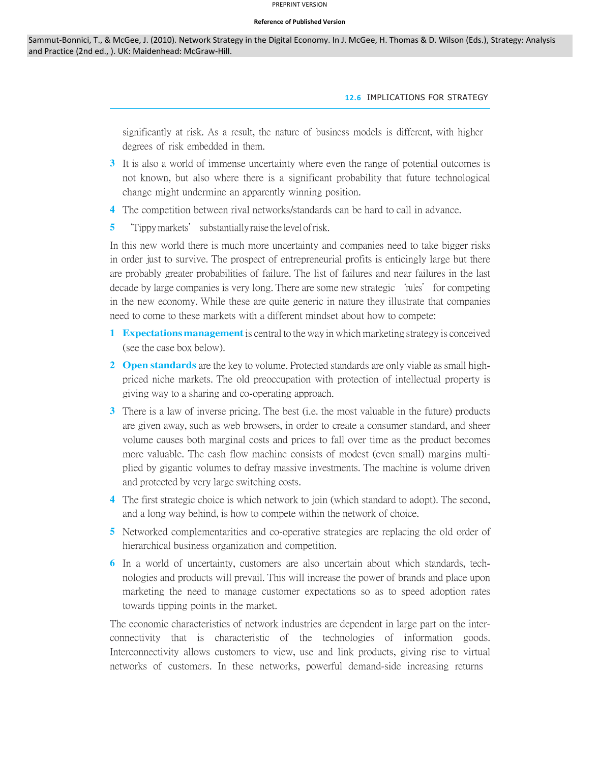### **Reference of Published Version**

Sammut-Bonnici, T., & McGee, J. (2010). Network Strategy in the Digital Economy. In J. McGee, H. Thomas & D. Wilson (Eds.), Strategy: Analysis and Practice (2nd ed., ). UK: Maidenhead: McGraw-Hill.

### **12.6** IMPLICATIONS FOR STRATEGY

significantly at risk. As a result, the nature of business models is different, with higher degrees of risk embedded in them.

- **3** It is also a world of immense uncertainty where even the range of potential outcomes is not known, but also where there is a significant probability that future technological change might undermine an apparently winning position.
- **4** The competition between rival networks/standards can be hard to call in advance.
- **5** 'Tippy markets' substantially raise the level of risk.

In this new world there is much more uncertainty and companies need to take bigger risks in order just to survive. The prospect of entrepreneurial profits is enticingly large but there are probably greater probabilities of failure. The list of failures and near failures in the last decade by large companies is very long. There are some new strategic 'rules' for competing in the new economy. While these are quite generic in nature they illustrate that companies need to come to these markets with a different mindset about how to compete:

- **1 Expectations management** is central to the way in which marketing strategy is conceived (see the case box below).
- **2 Open standards** are the key to volume. Protected standards are only viable as small highpriced niche markets. The old preoccupation with protection of intellectual property is giving way to a sharing and co-operating approach.
- **3** There is a law of inverse pricing. The best (i.e. the most valuable in the future) products are given away, such as web browsers, in order to create a consumer standard, and sheer volume causes both marginal costs and prices to fall over time as the product becomes more valuable. The cash flow machine consists of modest (even small) margins multiplied by gigantic volumes to defray massive investments. The machine is volume driven and protected by very large switching costs.
- **4** The first strategic choice is which network to join (which standard to adopt). The second, and a long way behind, is how to compete within the network of choice.
- **5** Networked complementarities and co-operative strategies are replacing the old order of hierarchical business organization and competition.
- **6** In a world of uncertainty, customers are also uncertain about which standards, technologies and products will prevail. This will increase the power of brands and place upon marketing the need to manage customer expectations so as to speed adoption rates towards tipping points in the market.

The economic characteristics of network industries are dependent in large part on the interconnectivity that is characteristic of the technologies of information goods. Interconnectivity allows customers to view, use and link products, giving rise to virtual networks of customers. In these networks, powerful demand-side increasing returns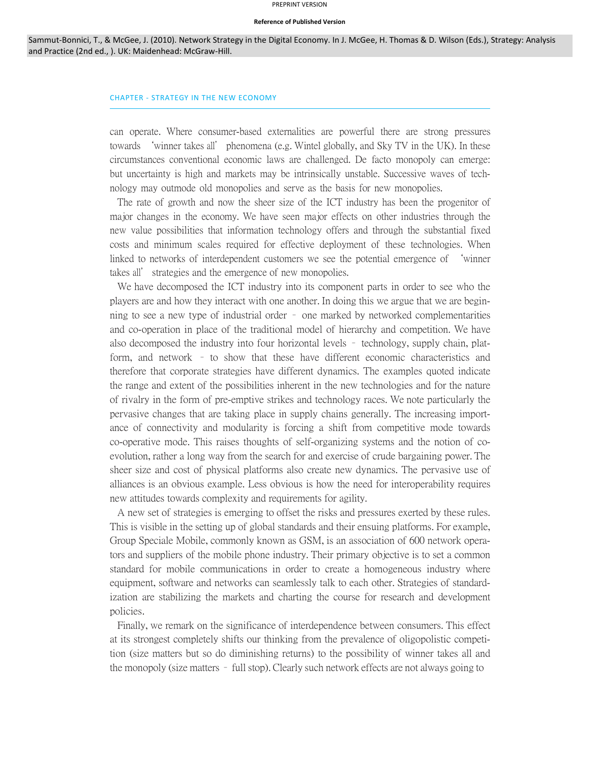### **Reference of Published Version**

Sammut-Bonnici, T., & McGee, J. (2010). Network Strategy in the Digital Economy. In J. McGee, H. Thomas & D. Wilson (Eds.), Strategy: Analysis and Practice (2nd ed., ). UK: Maidenhead: McGraw-Hill.

## CHAPTER - STRATEGY IN THE NEW ECONOMY

can operate. Where consumer-based externalities are powerful there are strong pressures towards 'winner takes all' phenomena (e.g. Wintel globally, and Sky TV in the UK). In these circumstances conventional economic laws are challenged. De facto monopoly can emerge: but uncertainty is high and markets may be intrinsically unstable. Successive waves of technology may outmode old monopolies and serve as the basis for new monopolies.

The rate of growth and now the sheer size of the ICT industry has been the progenitor of major changes in the economy. We have seen major effects on other industries through the new value possibilities that information technology offers and through the substantial fixed costs and minimum scales required for effective deployment of these technologies. When linked to networks of interdependent customers we see the potential emergence of 'winner takes all' strategies and the emergence of new monopolies.

We have decomposed the ICT industry into its component parts in order to see who the players are and how they interact with one another. In doing this we argue that we are beginning to see a new type of industrial order – one marked by networked complementarities and co-operation in place of the traditional model of hierarchy and competition. We have also decomposed the industry into four horizontal levels – technology, supply chain, platform, and network – to show that these have different economic characteristics and therefore that corporate strategies have different dynamics. The examples quoted indicate the range and extent of the possibilities inherent in the new technologies and for the nature of rivalry in the form of pre-emptive strikes and technology races. We note particularly the pervasive changes that are taking place in supply chains generally. The increasing importance of connectivity and modularity is forcing a shift from competitive mode towards co-operative mode. This raises thoughts of self-organizing systems and the notion of coevolution, rather a long way from the search for and exercise of crude bargaining power. The sheer size and cost of physical platforms also create new dynamics. The pervasive use of alliances is an obvious example. Less obvious is how the need for interoperability requires new attitudes towards complexity and requirements for agility.

A new set of strategies is emerging to offset the risks and pressures exerted by these rules. This is visible in the setting up of global standards and their ensuing platforms. For example, Group Speciale Mobile, commonly known as GSM, is an association of 600 network operators and suppliers of the mobile phone industry. Their primary objective is to set a common standard for mobile communications in order to create a homogeneous industry where equipment, software and networks can seamlessly talk to each other. Strategies of standardization are stabilizing the markets and charting the course for research and development policies.

Finally, we remark on the significance of interdependence between consumers. This effect at its strongest completely shifts our thinking from the prevalence of oligopolistic competition (size matters but so do diminishing returns) to the possibility of winner takes all and the monopoly (size matters – full stop). Clearly such network effects are not always going to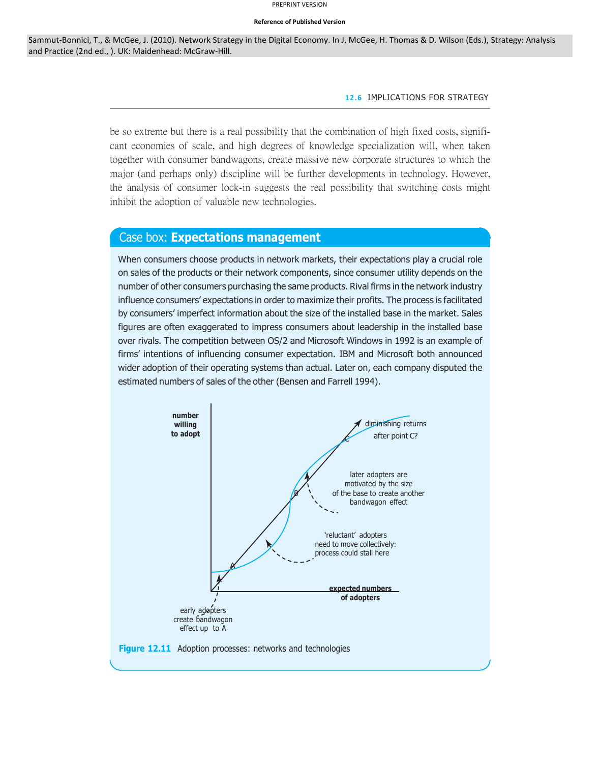### **Reference of Published Version**

Sammut-Bonnici, T., & McGee, J. (2010). Network Strategy in the Digital Economy. In J. McGee, H. Thomas & D. Wilson (Eds.), Strategy: Analysis and Practice (2nd ed., ). UK: Maidenhead: McGraw-Hill.

## **12.6** IMPLICATIONS FOR STRATEGY

be so extreme but there is a real possibility that the combination of high fixed costs, significant economies of scale, and high degrees of knowledge specialization will, when taken together with consumer bandwagons, create massive new corporate structures to which the major (and perhaps only) discipline will be further developments in technology. However, the analysis of consumer lock-in suggests the real possibility that switching costs might inhibit the adoption of valuable new technologies.

# Case box: **Expectations management**

When consumers choose products in network markets, their expectations play a crucial role on sales of the products or their network components, since consumer utility depends on the number of other consumers purchasing the same products. Rival firms in the network industry influence consumers' expectations in order to maximize their profits. The process is facilitated by consumers' imperfect information about the size of the installed base in the market. Sales figures are often exaggerated to impress consumers about leadership in the installed base over rivals. The competition between OS/2 and Microsoft Windows in 1992 is an example of firms' intentions of influencing consumer expectation. IBM and Microsoft both announced wider adoption of their operating systems than actual. Later on, each company disputed the estimated numbers of sales of the other (Bensen and Farrell 1994).



**Figure 12.11** Adoption processes: networks and technologies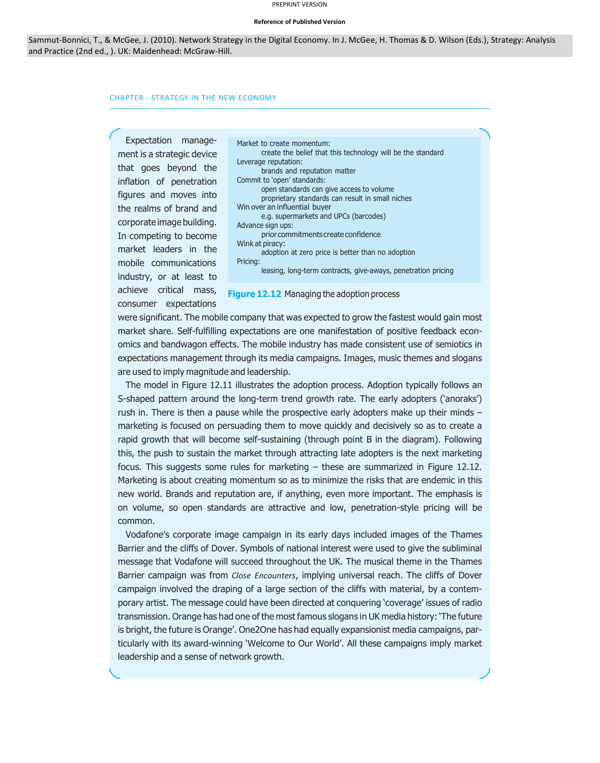#### **Reference of Published Version**

Sammut-Bonnici, T., & McGee, J. (2010). Network Strategy in the Digital Economy. In J. McGee, H. Thomas & D. Wilson (Eds.), Strategy: Analysis and Practice (2nd ed., ). UK: Maidenhead: McGraw-Hill.

### CHAPTER - STRATEGY IN THE NEW ECONOMY

Expectation management is a strategic device that goes beyond the inflation of penetration figures and moves into the realms of brand and corporate image building. In competing to become market leaders in the mobile communications industry, or at least to achieve critical mass, consumer expectations

| Market to create momentum:                                    |
|---------------------------------------------------------------|
| create the belief that this technology will be the standard   |
| Leverage reputation:                                          |
| brands and reputation matter                                  |
| Commit to 'open' standards:                                   |
| open standards can give access to volume                      |
| proprietary standards can result in small niches              |
| Win over an influential buyer                                 |
| e.g. supermarkets and UPCs (barcodes)                         |
| Advance sign ups:                                             |
| prior commitments create confidence                           |
| Wink at piracy:                                               |
| adoption at zero price is better than no adoption             |
| Pricing:                                                      |
| leasing, long-term contracts, give-aways, penetration pricing |



were significant. The mobile company that was expected to grow the fastest would gain most market share. Self-fulfilling expectations are one manifestation of positive feedback economics and bandwagon effects. The mobile industry has made consistent use of semiotics in expectations management through its media campaigns. Images, music themes and slogans are used to imply magnitude and leadership.

The model in Figure 12.11 illustrates the adoption process. Adoption typically follows an S-shaped pattern around the long-term trend growth rate. The early adopters ('anoraks') rush in. There is then a pause while the prospective early adopters make up their minds – marketing is focused on persuading them to move quickly and decisively so as to create a rapid growth that will become self-sustaining (through point B in the diagram). Following this, the push to sustain the market through attracting late adopters is the next marketing focus. This suggests some rules for marketing – these are summarized in Figure 12.12. Marketing is about creating momentum so as to minimize the risks that are endemic in this new world. Brands and reputation are, if anything, even more important. The emphasis is on volume, so open standards are attractive and low, penetration-style pricing will be common.

Vodafone's corporate image campaign in its early days included images of the Thames Barrier and the cliffs of Dover. Symbols of national interest were used to give the subliminal message that Vodafone will succeed throughout the UK. The musical theme in the Thames Barrier campaign was from *Close Encounters*, implying universal reach. The cliffs of Dover campaign involved the draping of a large section of the cliffs with material, by a contemporary artist. The message could have been directed at conquering 'coverage' issues of radio transmission. Orange has had one of the most famous slogans in UK media history: 'The future is bright, the future is Orange'. One2One has had equally expansionist media campaigns, particularly with its award-winning 'Welcome to Our World'. All these campaigns imply market leadership and a sense of network growth.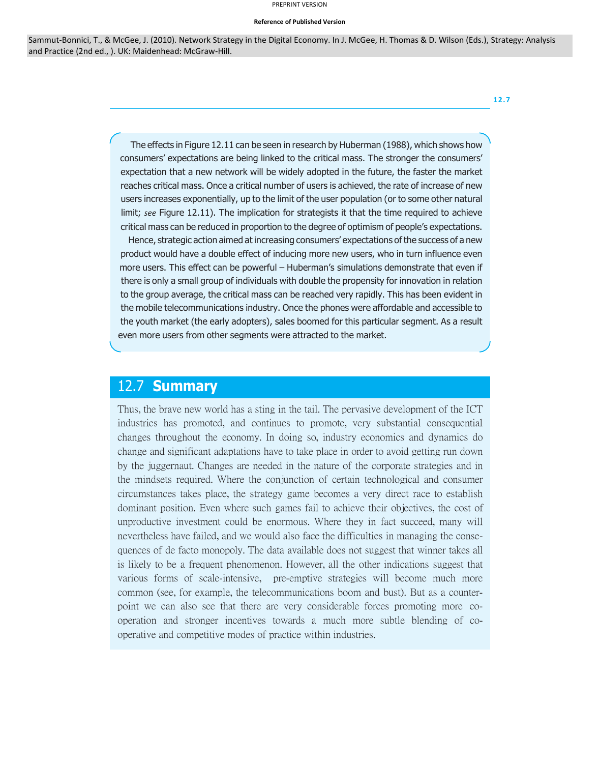### **Reference of Published Version**

Sammut-Bonnici, T., & McGee, J. (2010). Network Strategy in the Digital Economy. In J. McGee, H. Thomas & D. Wilson (Eds.), Strategy: Analysis and Practice (2nd ed., ). UK: Maidenhead: McGraw-Hill.

**12.7**

The effects in Figure 12.11 can be seen in research by Huberman (1988), which shows how consumers' expectations are being linked to the critical mass. The stronger the consumers' expectation that a new network will be widely adopted in the future, the faster the market reaches critical mass. Once a critical number of users is achieved, the rate of increase of new users increases exponentially, up to the limit of the user population (or to some other natural limit; *see* Figure 12.11). The implication for strategists it that the time required to achieve critical mass can be reduced in proportion to the degree of optimism of people's expectations.

Hence, strategic action aimed at increasing consumers' expectations of the success of a new product would have a double effect of inducing more new users, who in turn influence even more users. This effect can be powerful – Huberman's simulations demonstrate that even if there is only a small group of individuals with double the propensity for innovation in relation to the group average, the critical mass can be reached very rapidly. This has been evident in the mobile telecommunications industry. Once the phones were affordable and accessible to the youth market (the early adopters), sales boomed for this particular segment. As a result even more users from other segments were attracted to the market.

# 12.7 **Summary**

Thus, the brave new world has a sting in the tail. The pervasive development of the ICT industries has promoted, and continues to promote, very substantial consequential changes throughout the economy. In doing so, industry economics and dynamics do change and significant adaptations have to take place in order to avoid getting run down by the juggernaut. Changes are needed in the nature of the corporate strategies and in the mindsets required. Where the conjunction of certain technological and consumer circumstances takes place, the strategy game becomes a very direct race to establish dominant position. Even where such games fail to achieve their objectives, the cost of unproductive investment could be enormous. Where they in fact succeed, many will nevertheless have failed, and we would also face the difficulties in managing the consequences of de facto monopoly. The data available does not suggest that winner takes all is likely to be a frequent phenomenon. However, all the other indications suggest that various forms of scale-intensive, pre-emptive strategies will become much more common (see, for example, the telecommunications boom and bust). But as a counterpoint we can also see that there are very considerable forces promoting more cooperation and stronger incentives towards a much more subtle blending of cooperative and competitive modes of practice within industries.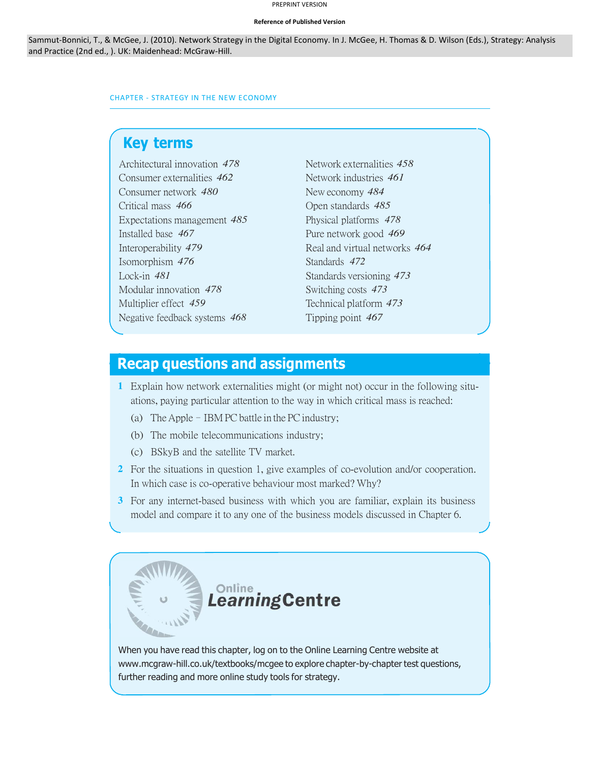### **Reference of Published Version**

Sammut-Bonnici, T., & McGee, J. (2010). Network Strategy in the Digital Economy. In J. McGee, H. Thomas & D. Wilson (Eds.), Strategy: Analysis and Practice (2nd ed., ). UK: Maidenhead: McGraw-Hill.

CHAPTER - STRATEGY IN THE NEW ECONOMY

# **Key terms**

Architectural innovation *478* Consumer externalities *462* Consumer network *480* Critical mass *466* Expectations management *485* Installed base *467* Interoperability *479* Isomorphism *476* Lock-in *481* Modular innovation *478* Multiplier effect *459* Negative feedback systems *468*

Network externalities *458* Network industries *461* New economy  $484$ Open standards *485* Physical platforms *478* Pure network good *469* Real and virtual networks *464* Standards *472* Standards versioning *473* Switching costs *473* Technical platform *473* Tipping point *467*

# **Recap questions and assignments**

- **1** Explain how network externalities might (or might not) occur in the following situations, paying particular attention to the way in which critical mass is reached:
	- (a) The Apple–IBM PC battle in the PC industry;
	- (b) The mobile telecommunications industry;
	- (c) BSkyB and the satellite TV market.
- **2** For the situations in question 1, give examples of co-evolution and/or cooperation. In which case is co-operative behaviour most marked? Why?
- **3** For any internet-based business with which you are familiar, explain its business model and compare it to any one of the business models discussed in Chapter 6.



When you have read this chapter, log on to the Online Learning Centre website at [www.mcgraw-hill.co.uk/textbooks/mcgee t](http://www.mcgraw-hill.co.uk/textbooks/mcgee)o explore chapter-by-chapter test questions, further reading and more online study tools for strategy.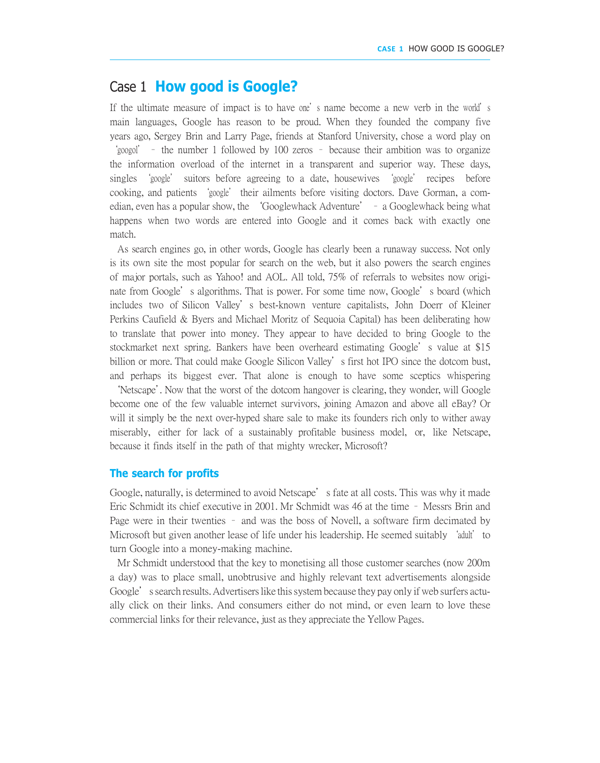# Case 1 **How good is Google?**

If the ultimate measure of impact is to have one's name become a new verb in the world's main languages, Google has reason to be proud. When they founded the company five years ago, Sergey Brin and Larry Page, friends at Stanford University, chose a word play on 'googol' – the number 1 followed by 100 zeros – because their ambition was to organize the information overload of the internet in a transparent and superior way. These days, singles 'google' suitors before agreeing to a date, housewives 'google' recipes before cooking, and patients 'google' their ailments before visiting doctors. Dave Gorman, a comedian, even has a popular show, the 'Googlewhack Adventure' – a Googlewhack being what happens when two words are entered into Google and it comes back with exactly one match.

As search engines go, in other words, Google has clearly been a runaway success. Not only is its own site the most popular for search on the web, but it also powers the search engines of major portals, such as Yahoo! and AOL. All told, 75% of referrals to websites now originate from Google's algorithms. That is power. For some time now, Google's board (which includes two of Silicon Valley's best-known venture capitalists, John Doerr of Kleiner Perkins Caufield & Byers and Michael Moritz of Sequoia Capital) has been deliberating how to translate that power into money. They appear to have decided to bring Google to the stockmarket next spring. Bankers have been overheard estimating Google's value at \$15 billion or more. That could make Google Silicon Valley's first hot IPO since the dotcom bust, and perhaps its biggest ever. That alone is enough to have some sceptics whispering

'Netscape'. Now that the worst of the dotcom hangover is clearing, they wonder, will Google become one of the few valuable internet survivors, joining Amazon and above all eBay? Or will it simply be the next over-hyped share sale to make its founders rich only to wither away miserably, either for lack of a sustainably profitable business model, or, like Netscape, because it finds itself in the path of that mighty wrecker, Microsoft?

# **The search for profits**

Google, naturally, is determined to avoid Netscape's fate at all costs. This was why it made Eric Schmidt its chief executive in 2001. Mr Schmidt was 46 at the time – Messrs Brin and Page were in their twenties – and was the boss of Novell, a software firm decimated by Microsoft but given another lease of life under his leadership. He seemed suitably 'adult' to turn Google into a money-making machine.

Mr Schmidt understood that the key to monetising all those customer searches (now 200m a day) was to place small, unobtrusive and highly relevant text advertisements alongside Google's search results. Advertisers like this system because they pay only if web surfers actually click on their links. And consumers either do not mind, or even learn to love these commercial links for their relevance, just as they appreciate the Yellow Pages.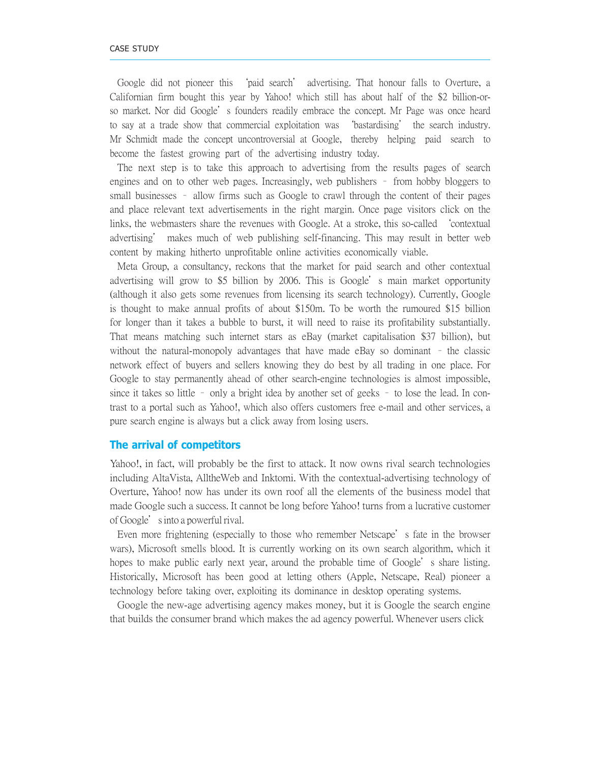Google did not pioneer this 'paid search' advertising. That honour falls to Overture, a Californian firm bought this year by Yahoo! which still has about half of the \$2 billion-orso market. Nor did Google's founders readily embrace the concept. Mr Page was once heard to say at a trade show that commercial exploitation was 'bastardising' the search industry. Mr Schmidt made the concept uncontroversial at Google, thereby helping paid search to become the fastest growing part of the advertising industry today.

The next step is to take this approach to advertising from the results pages of search engines and on to other web pages. Increasingly, web publishers – from hobby bloggers to small businesses – allow firms such as Google to crawl through the content of their pages and place relevant text advertisements in the right margin. Once page visitors click on the links, the webmasters share the revenues with Google. At a stroke, this so-called 'contextual advertising' makes much of web publishing self-financing. This may result in better web content by making hitherto unprofitable online activities economically viable.

Meta Group, a consultancy, reckons that the market for paid search and other contextual advertising will grow to \$5 billion by 2006. This is Google's main market opportunity (although it also gets some revenues from licensing its search technology). Currently, Google is thought to make annual profits of about \$150m. To be worth the rumoured \$15 billion for longer than it takes a bubble to burst, it will need to raise its profitability substantially. That means matching such internet stars as eBay (market capitalisation \$37 billion), but without the natural-monopoly advantages that have made eBay so dominant - the classic network effect of buyers and sellers knowing they do best by all trading in one place. For Google to stay permanently ahead of other search-engine technologies is almost impossible, since it takes so little – only a bright idea by another set of geeks – to lose the lead. In contrast to a portal such as Yahoo!, which also offers customers free e-mail and other services, a pure search engine is always but a click away from losing users.

# **The arrival of competitors**

Yahoo!, in fact, will probably be the first to attack. It now owns rival search technologies including AltaVista, AlltheWeb and Inktomi. With the contextual-advertising technology of Overture, Yahoo! now has under its own roof all the elements of the business model that made Google such a success. It cannot be long before Yahoo! turns from a lucrative customer of Google's into a powerful rival.

Even more frightening (especially to those who remember Netscape's fate in the browser wars), Microsoft smells blood. It is currently working on its own search algorithm, which it hopes to make public early next year, around the probable time of Google's share listing. Historically, Microsoft has been good at letting others (Apple, Netscape, Real) pioneer a technology before taking over, exploiting its dominance in desktop operating systems.

Google the new-age advertising agency makes money, but it is Google the search engine that builds the consumer brand which makes the ad agency powerful. Whenever users click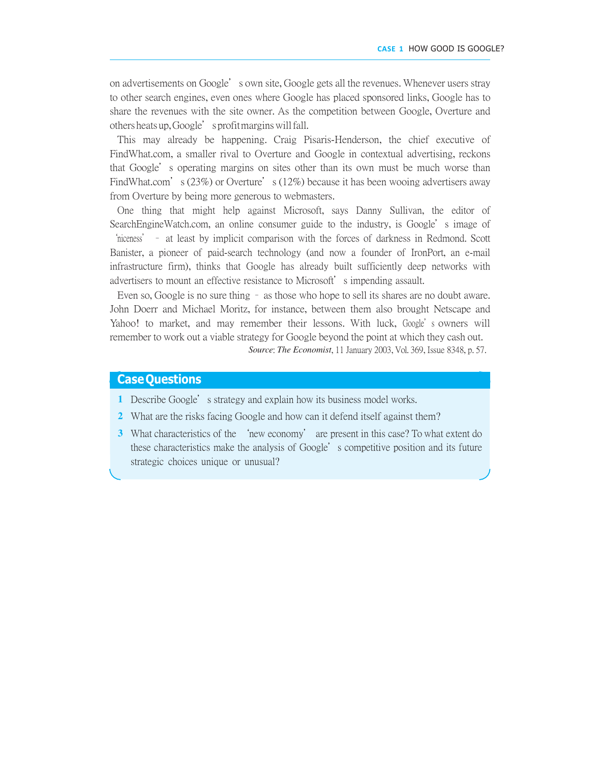on advertisements on Google's own site, Google gets all the revenues. Whenever users stray to other search engines, even ones where Google has placed sponsored links, Google has to share the revenues with the site owner. As the competition between Google, Overture and others heats up, Google's profit margins will fall.

This may already be happening. Craig Pisaris-Henderson, the chief executive of FindWhat.com, a smaller rival to Overture and Google in contextual advertising, reckons that Google's operating margins on sites other than its own must be much worse than FindWhat.com's (23%) or Overture's (12%) because it has been wooing advertisers away from Overture by being more generous to webmasters.

One thing that might help against Microsoft, says Danny Sullivan, the editor of SearchEngineWatch.com, an online consumer guide to the industry, is Google's image of 'niceness' – at least by implicit comparison with the forces of darkness in Redmond. Scott Banister, a pioneer of paid-search technology (and now a founder of IronPort, an e-mail infrastructure firm), thinks that Google has already built sufficiently deep networks with advertisers to mount an effective resistance to Microsoft's impending assault.

Even so, Google is no sure thing – as those who hope to sell its shares are no doubt aware. John Doerr and Michael Moritz, for instance, between them also brought Netscape and Yahoo! to market, and may remember their lessons. With luck, Google's owners will remember to work out a viable strategy for Google beyond the point at which they cash out.

*Source*: *The Economist*, 11 January 2003, Vol. 369, Issue 8348, p. 57.

# **Case Questions**

- **1** Describe Google's strategy and explain how its business model works.
- **2** What are the risks facing Google and how can it defend itself against them?
- **3** What characteristics of the 'new economy' are present in this case? To what extent do these characteristics make the analysis of Google's competitive position and its future strategic choices unique or unusual?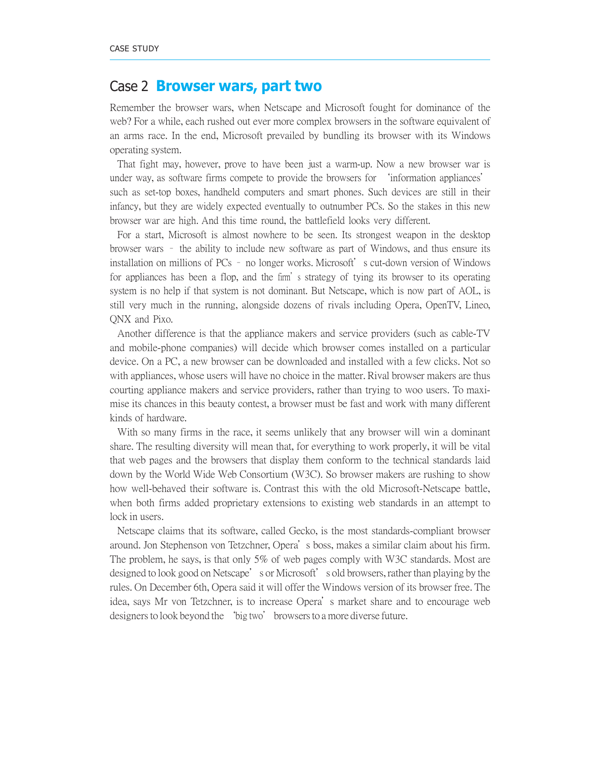# Case 2 **Browser wars, part two**

Remember the browser wars, when Netscape and Microsoft fought for dominance of the web? For a while, each rushed out ever more complex browsers in the software equivalent of an arms race. In the end, Microsoft prevailed by bundling its browser with its Windows operating system.

That fight may, however, prove to have been just a warm-up. Now a new browser war is under way, as software firms compete to provide the browsers for 'information appliances' such as set-top boxes, handheld computers and smart phones. Such devices are still in their infancy, but they are widely expected eventually to outnumber PCs. So the stakes in this new browser war are high. And this time round, the battlefield looks very different.

For a start, Microsoft is almost nowhere to be seen. Its strongest weapon in the desktop browser wars – the ability to include new software as part of Windows, and thus ensure its installation on millions of PCs – no longer works. Microsoft's cut-down version of Windows for appliances has been a flop, and the firm's strategy of tying its browser to its operating system is no help if that system is not dominant. But Netscape, which is now part of AOL, is still very much in the running, alongside dozens of rivals including Opera, OpenTV, Lineo, QNX and Pixo.

Another difference is that the appliance makers and service providers (such as cable-TV and mobile-phone companies) will decide which browser comes installed on a particular device. On a PC, a new browser can be downloaded and installed with a few clicks. Not so with appliances, whose users will have no choice in the matter. Rival browser makers are thus courting appliance makers and service providers, rather than trying to woo users. To maximise its chances in this beauty contest, a browser must be fast and work with many different kinds of hardware.

With so many firms in the race, it seems unlikely that any browser will win a dominant share. The resulting diversity will mean that, for everything to work properly, it will be vital that web pages and the browsers that display them conform to the technical standards laid down by the World Wide Web Consortium (W3C). So browser makers are rushing to show how well-behaved their software is. Contrast this with the old Microsoft-Netscape battle, when both firms added proprietary extensions to existing web standards in an attempt to lock in users.

Netscape claims that its software, called Gecko, is the most standards-compliant browser around. Jon Stephenson von Tetzchner, Opera's boss, makes a similar claim about his firm. The problem, he says, is that only 5% of web pages comply with W3C standards. Most are designed to look good on Netscape's or Microsoft's old browsers, rather than playing by the rules. On December 6th, Opera said it will offer the Windows version of its browser free. The idea, says Mr von Tetzchner, is to increase Opera's market share and to encourage web designers to look beyond the 'big two' browsers to a more diverse future.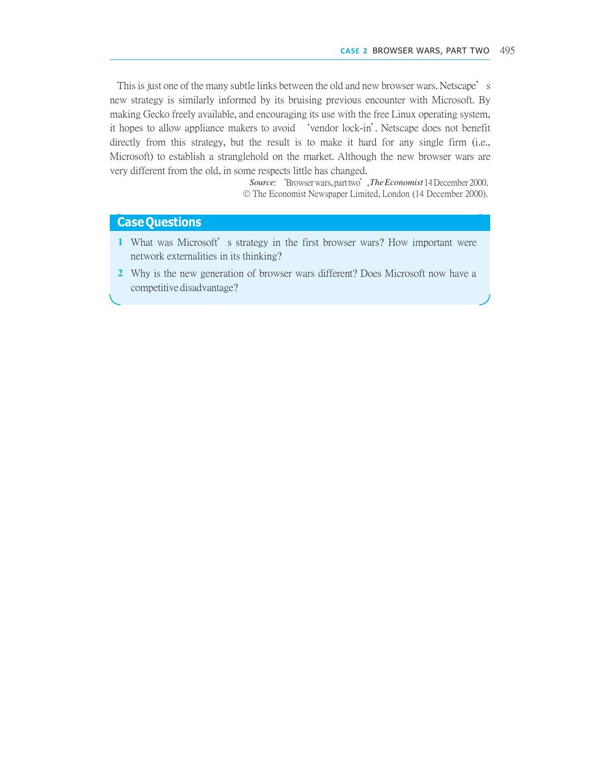This is just one of the many subtle links between the old and new browser wars. Netscape's new strategy is similarly informed by its bruising previous encounter with Microsoft. By making Gecko freely available, and encouraging its use with the free Linux operating system, it hopes to allow appliance makers to avoid 'vendor lock-in'. Netscape does not benefit directly from this strategy, but the result is to make it hard for any single firm (i.e., Microsoft) to establish a stranglehold on the market. Although the new browser wars are very different from the old, in some respects little has changed.

> *Source*: 'Browser wars, part two', *The Economist* 14 December 2000. © The Economist Newspaper Limited, London (14 December 2000).

# **Case Questions**

- **1** What was Microsoft's strategy in the first browser wars? How important were network externalities in its thinking?
- **2** Why is the new generation of browser wars different? Does Microsoft now have a competitive disadvantage?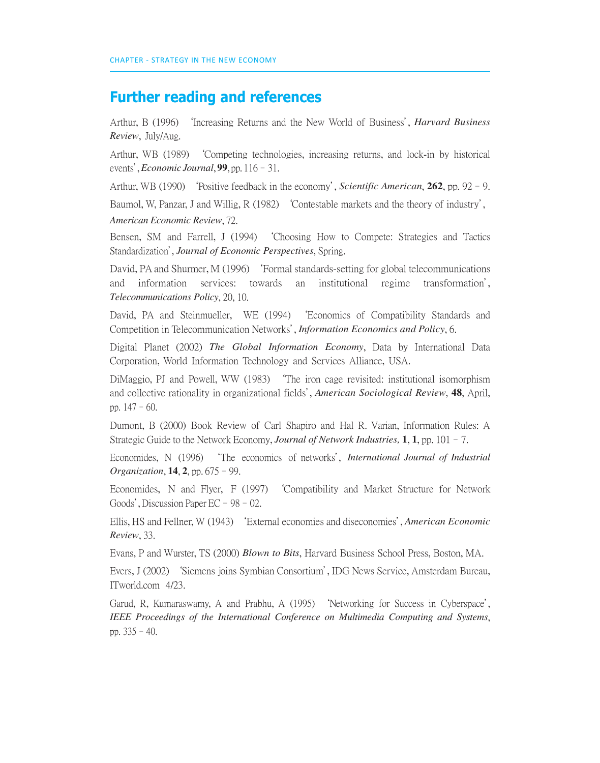# **Further reading and references**

Arthur, B (1996) 'Increasing Returns and the New World of Business', *Harvard Business Review*, July/Aug.

Arthur, WB (1989) 'Competing technologies, increasing returns, and lock-in by historical events', *Economic Journal*, **99**, pp. 116–31.

Arthur, WB (1990) 'Positive feedback in the economy', *Scientific American*, **262**, pp. 92–9.

Baumol, W, Panzar, J and Willig, R (1982) 'Contestable markets and the theory of industry', *American Economic Review*, 72.

Bensen, SM and Farrell, J (1994) 'Choosing How to Compete: Strategies and Tactics Standardization', *Journal of Economic Perspectives*, Spring.

David, PA and Shurmer, M (1996) 'Formal standards-setting for global telecommunications and information services: towards an institutional regime transformation', *Telecommunications Policy*, 20, 10.

David, PA and Steinmueller, WE (1994) 'Economics of Compatibility Standards and Competition in Telecommunication Networks', *Information Economics and Policy*, 6.

Digital Planet (2002) *The Global Information Economy*, Data by International Data Corporation, World Information Technology and Services Alliance, USA.

DiMaggio, PJ and Powell, WW (1983) 'The iron cage revisited: institutional isomorphism and collective rationality in organizational fields', *American Sociological Review*, **48**, April, pp. 147–60.

Dumont, B (2000) Book Review of Carl Shapiro and Hal R. Varian, Information Rules: A Strategic Guide to the Network Economy, *Journal of Network Industries,* **1**, **1**, pp. 101–7.

Economides, N (1996) 'The economics of networks', *International Journal of Industrial Organization*, **14**, **2**, pp. 675–99.

Economides, N and Flyer, F (1997) 'Compatibility and Market Structure for Network Goods', Discussion Paper EC–98–02.

Ellis, HS and Fellner, W (1943) 'External economies and diseconomies', *American Economic Review*, 33.

Evans, P and Wurster, TS (2000) *Blown to Bits*, Harvard Business School Press, Boston, MA.

Evers, J (2002) 'Siemens joins Symbian Consortium', IDG News Service, Amsterdam Bureau, ITworld.com 4/23.

Garud, R, Kumaraswamy, A and Prabhu, A (1995) 'Networking for Success in Cyberspace', *IEEE Proceedings of the International Conference on Multimedia Computing and Systems*, pp. 335–40.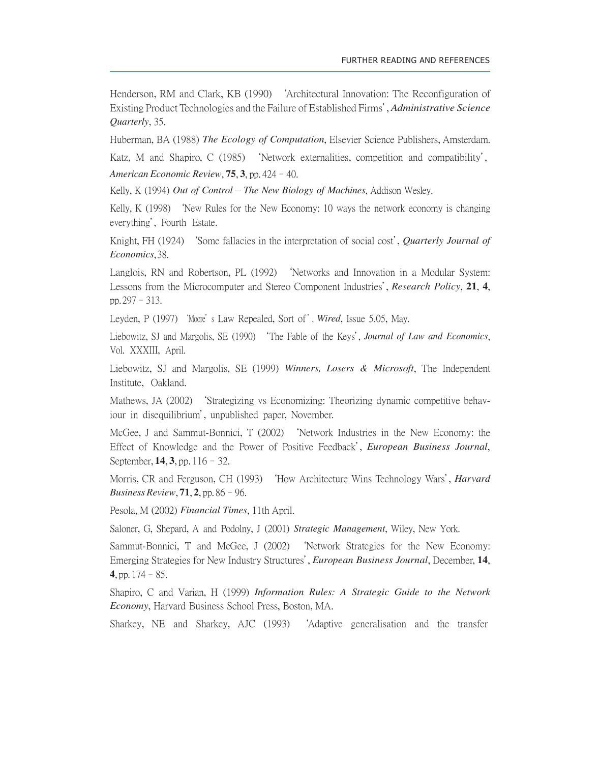Henderson, RM and Clark, KB (1990) 'Architectural Innovation: The Reconfiguration of Existing Product Technologies and the Failure of Established Firms', *Administrative Science Quarterly*, 35.

Huberman, BA (1988) *The Ecology of Computation*, Elsevier Science Publishers, Amsterdam.

Katz, M and Shapiro, C (1985) 'Network externalities, competition and compatibility', *American Economic Review*, **75**, **3**, pp. 424–40.

Kelly, K (1994) *Out of Control – The New Biology of Machines*, Addison Wesley.

Kelly, K (1998) 'New Rules for the New Economy: 10 ways the network economy is changing everything', Fourth Estate.

Knight, FH (1924) 'Some fallacies in the interpretation of social cost', *Quarterly Journal of Economics*, 38.

Langlois, RN and Robertson, PL (1992) 'Networks and Innovation in a Modular System: Lessons from the Microcomputer and Stereo Component Industries', *Research Policy*, **21**, **4**, pp.297–313.

Leyden, P (1997) 'Moore's Law Repealed, Sort of ', *Wired*, Issue 5.05, May.

Liebowitz, SJ and Margolis, SE (1990) 'The Fable of the Keys', *Journal of Law and Economics*, Vol. XXXIII, April.

Liebowitz, SJ and Margolis, SE (1999) *Winners, Losers & Microsoft*, The Independent Institute, Oakland.

Mathews, JA (2002) 'Strategizing vs Economizing: Theorizing dynamic competitive behaviour in disequilibrium', unpublished paper, November.

McGee, J and Sammut-Bonnici, T (2002) 'Network Industries in the New Economy: the Effect of Knowledge and the Power of Positive Feedback', *European Business Journal*, September, **14**, **3**, pp. 116–32.

Morris, CR and Ferguson, CH (1993) 'How Architecture Wins Technology Wars', *Harvard Business Review*, **71**, **2**, pp. 86–96.

Pesola, M (2002) *Financial Times*, 11th April.

Saloner, G, Shepard, A and Podolny, J (2001) *Strategic Management*, Wiley, New York.

Sammut-Bonnici, T and McGee, J (2002) 'Network Strategies for the New Economy: Emerging Strategies for New Industry Structures', *European Business Journal*, December, **14**, **4**, pp. 174–85.

Shapiro, C and Varian, H (1999) *Information Rules: A Strategic Guide to the Network Economy*, Harvard Business School Press, Boston, MA.

Sharkey, NE and Sharkey, AJC (1993) 'Adaptive generalisation and the transfer